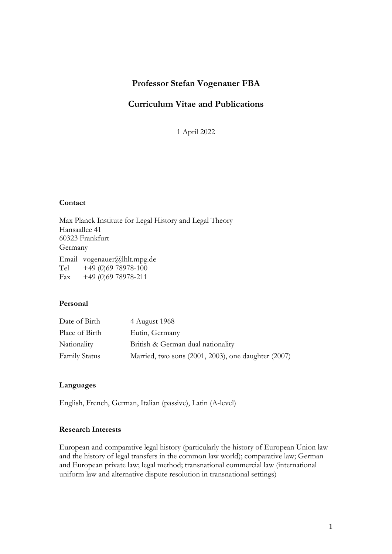## **Professor Stefan Vogenauer FBA**

## **Curriculum Vitae and Publications**

1 April 2022

### **Contact**

Max Planck Institute for Legal History and Legal Theory Hansaallee 41 60323 Frankfurt Germany Email vogenauer@lhlt.mpg.de Tel +49 (0)69 78978-100 Fax  $+49$  (0)69 78978-211

## **Personal**

| Date of Birth        | 4 August 1968                                       |
|----------------------|-----------------------------------------------------|
| Place of Birth       | Eutin, Germany                                      |
| Nationality          | British & German dual nationality                   |
| <b>Family Status</b> | Married, two sons (2001, 2003), one daughter (2007) |

## **Languages**

English, French, German, Italian (passive), Latin (A-level)

## **Research Interests**

European and comparative legal history (particularly the history of European Union law and the history of legal transfers in the common law world); comparative law; German and European private law; legal method; transnational commercial law (international uniform law and alternative dispute resolution in transnational settings)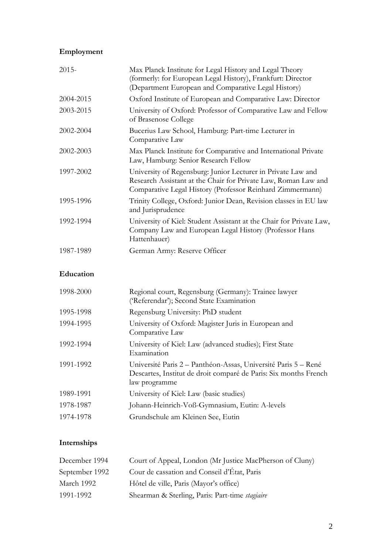# **Employment**

| $2015 -$  | Max Planck Institute for Legal History and Legal Theory<br>(formerly: for European Legal History), Frankfurt: Director<br>(Department European and Comparative Legal History)               |
|-----------|---------------------------------------------------------------------------------------------------------------------------------------------------------------------------------------------|
| 2004-2015 | Oxford Institute of European and Comparative Law: Director                                                                                                                                  |
| 2003-2015 | University of Oxford: Professor of Comparative Law and Fellow<br>of Brasenose College                                                                                                       |
| 2002-2004 | Bucerius Law School, Hamburg: Part-time Lecturer in<br>Comparative Law                                                                                                                      |
| 2002-2003 | Max Planck Institute for Comparative and International Private<br>Law, Hamburg: Senior Research Fellow                                                                                      |
| 1997-2002 | University of Regensburg: Junior Lecturer in Private Law and<br>Research Assistant at the Chair for Private Law, Roman Law and<br>Comparative Legal History (Professor Reinhard Zimmermann) |
| 1995-1996 | Trinity College, Oxford: Junior Dean, Revision classes in EU law<br>and Jurisprudence                                                                                                       |
| 1992-1994 | University of Kiel: Student Assistant at the Chair for Private Law,<br>Company Law and European Legal History (Professor Hans<br>Hattenhauer)                                               |
| 1987-1989 | German Army: Reserve Officer                                                                                                                                                                |

## **Education**

| 1998-2000 | Regional court, Regensburg (Germany): Trainee lawyer<br>('Referendar'); Second State Examination                                                    |
|-----------|-----------------------------------------------------------------------------------------------------------------------------------------------------|
| 1995-1998 | Regensburg University: PhD student                                                                                                                  |
| 1994-1995 | University of Oxford: Magister Juris in European and<br>Comparative Law                                                                             |
| 1992-1994 | University of Kiel: Law (advanced studies); First State<br>Examination                                                                              |
| 1991-1992 | Université Paris 2 - Panthéon-Assas, Université Paris 5 - René<br>Descartes, Institut de droit comparé de Paris: Six months French<br>law programme |
| 1989-1991 | University of Kiel: Law (basic studies)                                                                                                             |
| 1978-1987 | Johann-Heinrich-Voß-Gymnasium, Eutin: A-levels                                                                                                      |
| 1974-1978 | Grundschule am Kleinen See, Eutin                                                                                                                   |

# **Internships**

| December 1994  | Court of Appeal, London (Mr Justice MacPherson of Cluny) |
|----------------|----------------------------------------------------------|
| September 1992 | Cour de cassation and Conseil d'État, Paris              |
| March 1992     | Hôtel de ville, Paris (Mayor's office)                   |
| 1991-1992      | Shearman & Sterling, Paris: Part-time <i>stagiaire</i>   |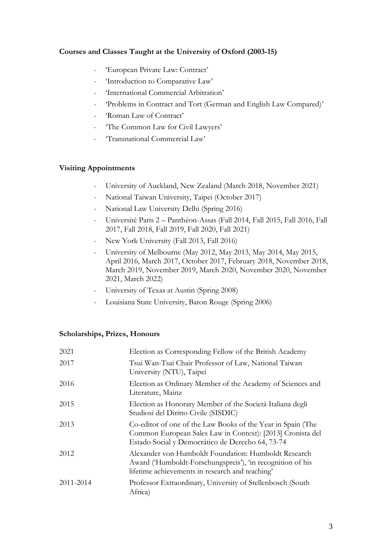## **Courses and Classes Taught at the University of Oxford (2003-15)**

- 'European Private Law: Contract'
- 'Introduction to Comparative Law'
- 'International Commercial Arbitration'
- 'Problems in Contract and Tort (German and English Law Compared)'
- 'Roman Law of Contract'
- 'The Common Law for Civil Lawyers'
- 'Transnational Commercial Law'

## **Visiting Appointments**

- University of Auckland, New Zealand (March 2018, November 2021)
- National Taiwan University, Taipei (October 2017)
- National Law University Delhi (Spring 2016)
- Université Paris 2 Panthéon-Assas (Fall 2014, Fall 2015, Fall 2016, Fall 2017, Fall 2018, Fall 2019, Fall 2020, Fall 2021)
- New York University (Fall 2013, Fall 2016)
- University of Melbourne (May 2012, May 2013, May 2014, May 2015, April 2016, March 2017, October 2017, February 2018, November 2018, March 2019, November 2019, March 2020, November 2020, November 2021, March 2022)
- University of Texas at Austin (Spring 2008)
- Louisiana State University, Baton Rouge (Spring 2006)

## **Scholarships, Prizes, Honours**

| 2021      | Election as Corresponding Fellow of the British Academy                                                                                                                       |
|-----------|-------------------------------------------------------------------------------------------------------------------------------------------------------------------------------|
| 2017      | Tsui Wan-Tsai Chair Professor of Law, National Taiwan<br>University (NTU), Taipei                                                                                             |
| 2016      | Election as Ordinary Member of the Academy of Sciences and<br>Literature, Mainz                                                                                               |
| 2015      | Election as Honorary Member of the Società Italiana degli<br>Studiosi del Diritto Civile (SISDIC)                                                                             |
| 2013      | Co-editor of one of the Law Books of the Year in Spain (The<br>Common European Sales Law in Context): [2013] Cronista del<br>Estado Social y Democrático de Derecho 64, 73-74 |
| 2012      | Alexander von Humboldt Foundation: Humboldt Research<br>Award ('Humboldt-Forschungspreis'), 'in recognition of his<br>lifetime achievements in research and teaching'         |
| 2011-2014 | Professor Extraordinary, University of Stellenbosch (South<br>Africa)                                                                                                         |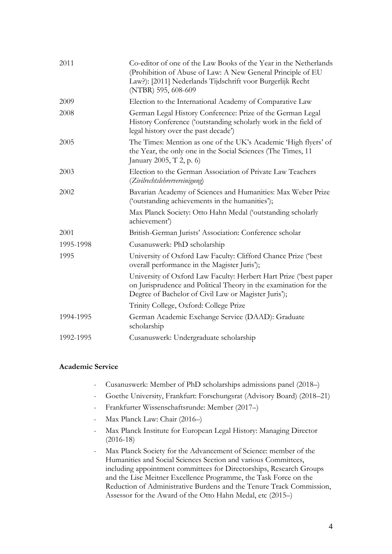| 2011      | Co-editor of one of the Law Books of the Year in the Netherlands<br>(Prohibition of Abuse of Law: A New General Principle of EU<br>Law?): [2011] Nederlands Tijdschrift voor Burgerlijk Recht<br>(NTBR) 595, 608-609 |
|-----------|----------------------------------------------------------------------------------------------------------------------------------------------------------------------------------------------------------------------|
| 2009      | Election to the International Academy of Comparative Law                                                                                                                                                             |
| 2008      | German Legal History Conference: Prize of the German Legal<br>History Conference ('outstanding scholarly work in the field of<br>legal history over the past decade')                                                |
| 2005      | The Times: Mention as one of the UK's Academic 'High flyers' of<br>the Year, the only one in the Social Sciences (The Times, 11<br>January 2005, T 2, p. 6)                                                          |
| 2003      | Election to the German Association of Private Law Teachers<br>(Zivilrechtslehrervereinigung)                                                                                                                         |
| 2002      | Bavarian Academy of Sciences and Humanities: Max Weber Prize<br>('outstanding achievements in the humanities');                                                                                                      |
|           | Max Planck Society: Otto Hahn Medal ('outstanding scholarly<br>achievement')                                                                                                                                         |
| 2001      | British-German Jurists' Association: Conference scholar                                                                                                                                                              |
| 1995-1998 | Cusanuswerk: PhD scholarship                                                                                                                                                                                         |
| 1995      | University of Oxford Law Faculty: Clifford Chance Prize ('best<br>overall performance in the Magister Juris');                                                                                                       |
|           | University of Oxford Law Faculty: Herbert Hart Prize ('best paper<br>on Jurisprudence and Political Theory in the examination for the<br>Degree of Bachelor of Civil Law or Magister Juris');                        |
|           | Trinity College, Oxford: College Prize                                                                                                                                                                               |
| 1994-1995 | German Academic Exchange Service (DAAD): Graduate<br>scholarship                                                                                                                                                     |
| 1992-1995 | Cusanuswerk: Undergraduate scholarship                                                                                                                                                                               |

### **Academic Service**

- Cusanuswerk: Member of PhD scholarships admissions panel (2018–)
- Goethe University, Frankfurt: Forschungsrat (Advisory Board) (2018–21)
- Frankfurter Wissenschaftsrunde: Member (2017–)
- Max Planck Law: Chair (2016–)
- Max Planck Institute for European Legal History: Managing Director (2016-18)
- Max Planck Society for the Advancement of Science: member of the Humanities and Social Sciences Section and various Committees, including appointment committees for Directorships, Research Groups and the Lise Meitner Excellence Programme, the Task Force on the Reduction of Administrative Burdens and the Tenure Track Commission, Assessor for the Award of the Otto Hahn Medal, etc (2015–)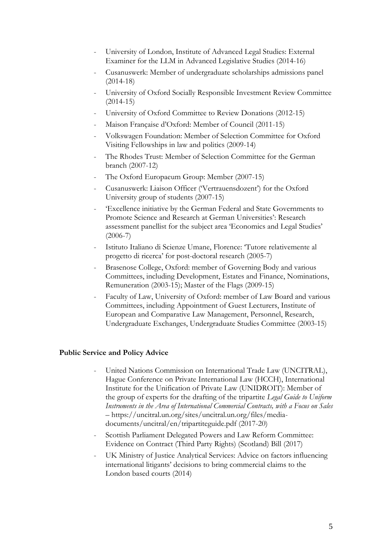- University of London, Institute of Advanced Legal Studies: External Examiner for the LLM in Advanced Legislative Studies (2014-16)
- Cusanuswerk: Member of undergraduate scholarships admissions panel (2014-18)
- University of Oxford Socially Responsible Investment Review Committee (2014-15)
- University of Oxford Committee to Review Donations (2012-15)
- Maison Française d'Oxford: Member of Council (2011-15)
- Volkswagen Foundation: Member of Selection Committee for Oxford Visiting Fellowships in law and politics (2009-14)
- The Rhodes Trust: Member of Selection Committee for the German branch (2007-12)
- The Oxford Europaeum Group: Member (2007-15)
- Cusanuswerk: Liaison Officer ('Vertrauensdozent') for the Oxford University group of students (2007-15)
- 'Excellence initiative by the German Federal and State Governments to Promote Science and Research at German Universities': Research assessment panellist for the subject area 'Economics and Legal Studies' (2006-7)
- Istituto Italiano di Scienze Umane, Florence: 'Tutore relativemente al progetto di ricerca' for post-doctoral research (2005-7)
- Brasenose College, Oxford: member of Governing Body and various Committees, including Development, Estates and Finance, Nominations, Remuneration (2003-15); Master of the Flags (2009-15)
- Faculty of Law, University of Oxford: member of Law Board and various Committees, including Appointment of Guest Lecturers, Institute of European and Comparative Law Management, Personnel, Research, Undergraduate Exchanges, Undergraduate Studies Committee (2003-15)

### **Public Service and Policy Advice**

- United Nations Commission on International Trade Law (UNCITRAL), Hague Conference on Private International Law (HCCH), International Institute for the Unification of Private Law (UNIDROIT): Member of the group of experts for the drafting of the tripartite *Legal Guide to Uniform Instruments in the Area of International Commercial Contracts, with a Focus on Sales* – https://uncitral.un.org/sites/uncitral.un.org/files/mediadocuments/uncitral/en/tripartiteguide.pdf (2017-20)
- Scottish Parliament Delegated Powers and Law Reform Committee: Evidence on Contract (Third Party Rights) (Scotland) Bill (2017)
- UK Ministry of Justice Analytical Services: Advice on factors influencing international litigants' decisions to bring commercial claims to the London based courts (2014)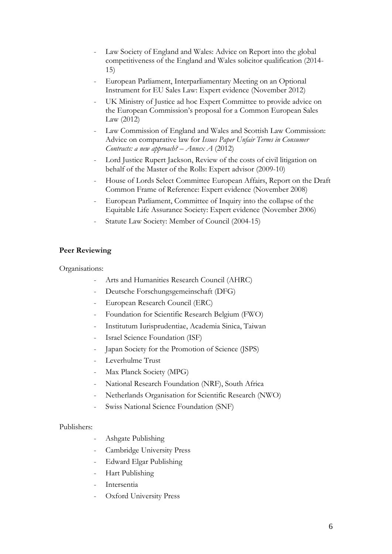- Law Society of England and Wales: Advice on Report into the global competitiveness of the England and Wales solicitor qualification (2014- 15)
- European Parliament, Interparliamentary Meeting on an Optional Instrument for EU Sales Law: Expert evidence (November 2012)
- UK Ministry of Justice ad hoc Expert Committee to provide advice on the European Commission's proposal for a Common European Sales Law (2012)
- Law Commission of England and Wales and Scottish Law Commission: Advice on comparative law for *Issues Paper Unfair Terms in Consumer Contracts: a new approach? – Annex A* (2012)
- Lord Justice Rupert Jackson, Review of the costs of civil litigation on behalf of the Master of the Rolls: Expert advisor (2009-10)
- House of Lords Select Committee European Affairs, Report on the Draft Common Frame of Reference: Expert evidence (November 2008)
- European Parliament, Committee of Inquiry into the collapse of the Equitable Life Assurance Society: Expert evidence (November 2006)
- Statute Law Society: Member of Council (2004-15)

### **Peer Reviewing**

Organisations:

- Arts and Humanities Research Council (AHRC)
- Deutsche Forschungsgemeinschaft (DFG)
- European Research Council (ERC)
- Foundation for Scientific Research Belgium (FWO)
- Institutum Iurisprudentiae, Academia Sinica, Taiwan
- Israel Science Foundation (ISF)
- Japan Society for the Promotion of Science (JSPS)
- Leverhulme Trust
- Max Planck Society (MPG)
- National Research Foundation (NRF), South Africa
- Netherlands Organisation for Scientific Research (NWO)
- Swiss National Science Foundation (SNF)

Publishers:

- Ashgate Publishing
- Cambridge University Press
- Edward Elgar Publishing
- Hart Publishing
- **Intersentia**
- Oxford University Press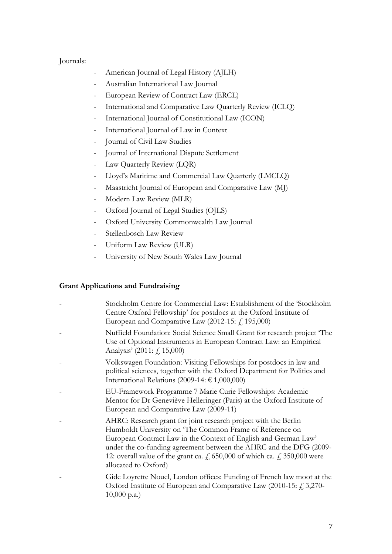## Journals:

- American Journal of Legal History (AJLH)
- Australian International Law Journal
- European Review of Contract Law (ERCL)
- International and Comparative Law Quarterly Review (ICLQ)
- International Journal of Constitutional Law (ICON)
- International Journal of Law in Context
- Journal of Civil Law Studies
- Journal of International Dispute Settlement
- Law Quarterly Review (LQR)
- Lloyd's Maritime and Commercial Law Quarterly (LMCLQ)
- Maastricht Journal of European and Comparative Law (MJ)
- Modern Law Review (MLR)
- Oxford Journal of Legal Studies (OJLS)
- Oxford University Commonwealth Law Journal
- Stellenbosch Law Review
- Uniform Law Review (ULR)
- University of New South Wales Law Journal

## **Grant Applications and Fundraising**

- Stockholm Centre for Commercial Law: Establishment of the 'Stockholm Centre Oxford Fellowship' for postdocs at the Oxford Institute of European and Comparative Law  $(2012-15: f, 195,000)$
- Nuffield Foundation: Social Science Small Grant for research project 'The Use of Optional Instruments in European Contract Law: an Empirical Analysis' (2011:  $\zeta$ , 15,000)
- Volkswagen Foundation: Visiting Fellowships for postdocs in law and political sciences, together with the Oxford Department for Politics and International Relations (2009-14:  $\epsilon$  1,000,000)
- EU-Framework Programme 7 Marie Curie Fellowships: Academic Mentor for Dr Geneviève Helleringer (Paris) at the Oxford Institute of European and Comparative Law (2009-11)
- AHRC: Research grant for joint research project with the Berlin Humboldt University on 'The Common Frame of Reference on European Contract Law in the Context of English and German Law' under the co-funding agreement between the AHRC and the DFG (2009- 12: overall value of the grant ca.  $\neq$ , 650,000 of which ca.  $\neq$ , 350,000 were allocated to Oxford)
- Gide Loyrette Nouel, London offices: Funding of French law moot at the Oxford Institute of European and Comparative Law (2010-15:  $f$ , 3,270-10,000 p.a.)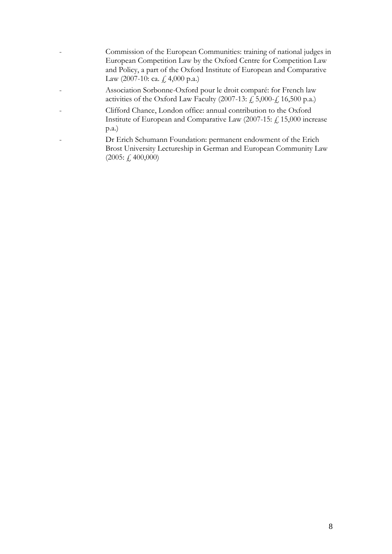- Commission of the European Communities: training of national judges in European Competition Law by the Oxford Centre for Competition Law and Policy, a part of the Oxford Institute of European and Comparative Law (2007-10: ca.  $\neq$  4,000 p.a.)
- Association Sorbonne-Oxford pour le droit comparé: for French law activities of the Oxford Law Faculty (2007-13:  $\hat{f}$ , 5,000- $\hat{f}$ , 16,500 p.a.)
- Clifford Chance, London office: annual contribution to the Oxford Institute of European and Comparative Law (2007-15: £ 15,000 increase p.a.)
- Dr Erich Schumann Foundation: permanent endowment of the Erich Brost University Lectureship in German and European Community Law (2005: £ 400,000)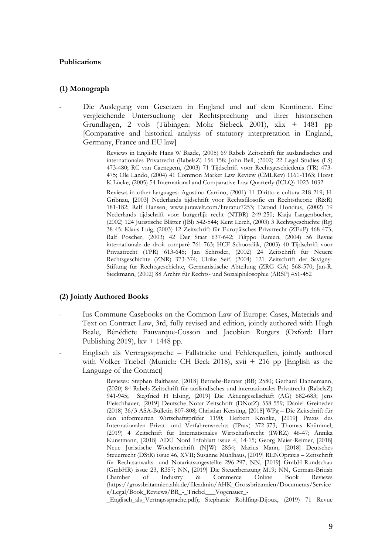### **Publications**

### **(1) Monograph**

- Die Auslegung von Gesetzen in England und auf dem Kontinent. Eine vergleichende Untersuchung der Rechtsprechung und ihrer historischen Grundlagen, 2 vols (Tübingen: Mohr Siebeck 2001), xlix + 1481 pp [Comparative and historical analysis of statutory interpretation in England, Germany, France and EU law]

> Reviews in English: Hans W Baade, (2005) 69 Rabels Zeitschrift für ausländisches und internationales Privatrecht (RabelsZ) 156-158; John Bell, (2002) 22 Legal Studies (LS) 473-480; RC van Caenegem, (2003) 71 Tijdschrift voor Rechtsgeschiedenis (TR) 473- 475; Ole Lando, (2004) 41 Common Market Law Review (CMLRev) 1161-1163; Horst K Lücke, (2005) 54 International and Comparative Law Quarterly (ICLQ) 1023-1032

> Reviews in other languages: Agostino Carrino, (2001) 11 Diritto e cultura 218-219; H. Gribnau, [2003] Nederlands tijdschrift voor Rechtsfilosofie en Rechtstheorie (R&R) 181-182; Ralf Hansen, www.jurawelt.com/literatur7253; Ewoud Hondius, (2002) 19 Nederlands tijdschrift voor burgerlijk recht (NTBR) 249-250; Katja Langenbucher, (2002) 124 Juristische Blätter (JBl) 542-544; Kent Lerch, (2003) 3 Rechtsgeschichte (Rg) 38-45; Klaus Luig, (2003) 12 Zeitschrift für Europäisches Privatrecht (ZEuP) 468-473; Ralf Poscher, (2003) 42 Der Staat 637-642; Filippo Ranieri, (2004) 56 Revue internationale de droit comparé 761-763; HCF Schoordijk, (2003) 40 Tijdschrift voor Privaatrecht (TPR) 613-645; Jan Schröder, (2002) 24 Zeitschrift für Neuere Rechtsgeschichte (ZNR) 373-374; Ulrike Seif, (2004) 121 Zeitschrift der Savigny-Stiftung für Rechtsgeschichte, Germanistische Abteilung (ZRG GA) 568-570; Jan-R. Sieckmann, (2002) 88 Archiv für Rechts- und Sozialphilosophie (ARSP) 451-452

#### **(2) Jointly Authored Books**

- Ius Commune Casebooks on the Common Law of Europe: Cases, Materials and Text on Contract Law, 3rd, fully revised and edition, jointly authored with Hugh Beale, Bénédicte Fauvarque-Cosson and Jacobien Rutgers (Oxford: Hart Publishing 2019),  $lxy + 1448$  pp.
- Englisch als Vertragssprache Fallstricke und Fehlerquellen, jointly authored with Volker Triebel (Munich: CH Beck 2018), xvii + 216 pp [English as the Language of the Contract]

Reviews: Stephan Balthasar, [2018] Betriebs-Berater (BB) 2580; Gerhard Dannemann, (2020) 84 Rabels Zeitschrift für ausländisches und internationales Privatrecht (RabelsZ) 941-945; Siegfried H Elsing, [2019] Die Aktiengesellschaft (AG) 682-683; Jens Fleischhauer, [2019] Deutsche Notar-Zeitschrift (DNotZ) 558-559; Daniel Greineder (2018) 36/3 ASA-Bulletin 807-808; Christian Kersting, [2018] WPg – Die Zeitschrift für den informierten Wirtschaftsprüfer 1190; Herbert Kronke, [2019] Praxis des Internationalen Privat- und Verfahrensrechts (IPrax) 372-373; Thomas Krümmel, (2019) 4 Zeitschrift für Internationales Wirtschaftsrecht (IWRZ) 46-47; Annika Kunstmann, [2018] ADÜ Nord Infoblatt issue 4, 14-15; Georg Maier-Reimer, [2018] Neue Juristische Wochenschrift (NJW) 2854; Marius Mann, [2018] Deutsches Steuerrecht (DStR) issue 46, XVII; Susanne Mühlhaus, [2019] RENOpraxis – Zeitschrift für Rechtsanwalts- und Notariatsangestellte 296-297; NN, [2019] GmbH-Rundschau (GmbHR) issue 23, R357; NN, [2019] Die Steuerberatung M19; NN, German-British Chamber of Industry & Commerce Online Book Reviews (https://grossbritannien.ahk.de/fileadmin/AHK\_Grossbritannien/Documents/Service s/Legal/Book\_Reviews/BR\_-\_Triebel\_\_\_Vogenauer\_-

\_Englisch\_als\_Vertragssprache.pdf); Stephanie Rohlfing-Dijoux, (2019) 71 Revue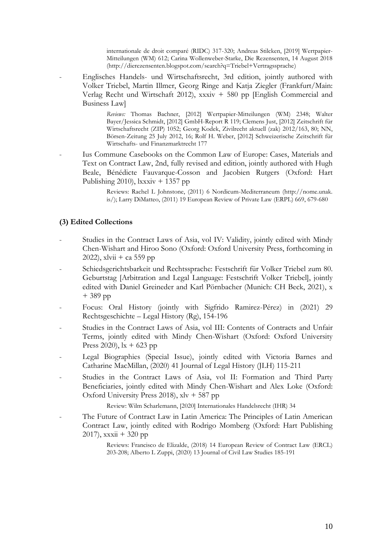internationale de droit comparé (RIDC) 317-320; Andreas Stilcken, [2019] Wertpapier-Mitteilungen (WM) 612; Carina Wollenweber-Starke, Die Rezensenten, 14 August 2018 (http://dierezensenten.blogspot.com/search?q=Triebel+Vertragssprache)

- Englisches Handels- und Wirtschaftsrecht, 3rd edition, jointly authored with Volker Triebel, Martin Illmer, Georg Ringe and Katja Ziegler (Frankfurt/Main: Verlag Recht und Wirtschaft 2012), xxxiv + 580 pp [English Commercial and Business Law]

> *Reviews:* Thomas Bachner, [2012] Wertpapier-Mitteilungen (WM) 2348; Walter Bayer/Jessica Schmidt, [2012] GmbH-Report R 119; Clemens Just, [2012] Zeitschrift für Wirtschaftsrecht (ZIP) 1052; Georg Kodek, Zivilrecht aktuell (zak) 2012/163, 80; NN, Börsen-Zeitung 25 July 2012, 16; Rolf H. Weber, [2012] Schweizerische Zeitschrift für Wirtschafts- und Finanzmarktrecht 177

- Ius Commune Casebooks on the Common Law of Europe: Cases, Materials and Text on Contract Law, 2nd, fully revised and edition, jointly authored with Hugh Beale, Bénédicte Fauvarque-Cosson and Jacobien Rutgers (Oxford: Hart Publishing 2010),  $lxxxiv + 1357$  pp

> Reviews: Rachel L Johnstone, (2011) 6 Nordicum-Mediterraneum (http://nome.unak. is/); Larry DiMatteo, (2011) 19 European Review of Private Law (ERPL) 669, 679-680

### **(3) Edited Collections**

- Studies in the Contract Laws of Asia, vol IV: Validity, jointly edited with Mindy Chen-Wishart and Hiroo Sono (Oxford: Oxford University Press, forthcoming in 2022), xlvii + ca 559 pp
- Schiedsgerichtsbarkeit und Rechtssprache: Festschrift für Volker Triebel zum 80. Geburtstag [Arbitration and Legal Language: Festschrift Volker Triebel], jointly edited with Daniel Greineder and Karl Pörnbacher (Munich: CH Beck, 2021), x + 389 pp
- Focus: Oral History (jointly with Sigfrido Ramirez-Pérez) in (2021) 29 Rechtsgeschichte – Legal History (Rg), 154-196
- Studies in the Contract Laws of Asia, vol III: Contents of Contracts and Unfair Terms, jointly edited with Mindy Chen-Wishart (Oxford: Oxford University Press 2020),  $x + 623$  pp
- Legal Biographies (Special Issue), jointly edited with Victoria Barnes and Catharine MacMillan, (2020) 41 Journal of Legal History (JLH) 115-211
- Studies in the Contract Laws of Asia, vol II: Formation and Third Party Beneficiaries, jointly edited with Mindy Chen-Wishart and Alex Loke (Oxford: Oxford University Press 2018), xlv + 587 pp

Review: Wilm Scharlemann, [2020] Internationales Handelsrecht (IHR) 34

The Future of Contract Law in Latin America: The Principles of Latin American Contract Law, jointly edited with Rodrigo Momberg (Oxford: Hart Publishing 2017),  $x \times xii + 320$  pp

> Reviews: Francisco de Elizalde, (2018) 14 European Review of Contract Law (ERCL) 203-208; Alberto L Zuppi, (2020) 13 Journal of Civil Law Studies 185-191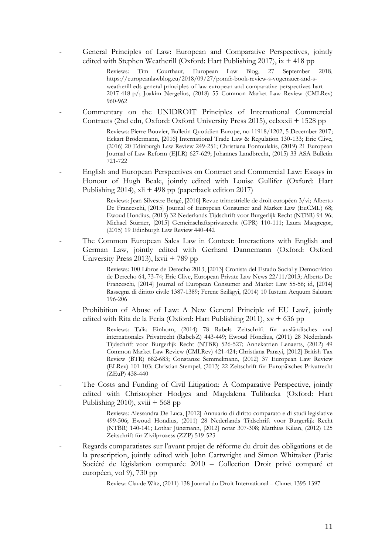- General Principles of Law: European and Comparative Perspectives, jointly edited with Stephen Weatherill (Oxford: Hart Publishing 2017), ix + 418 pp

> Reviews: Tim Courthaut, European Law Blog, 27 September 2018, https://europeanlawblog.eu/2018/09/27/pomfr-book-review-s-vogenauer-and-sweatherill-eds-general-principles-of-law-european-and-comparative-perspectives-hart-2017-418-p/; Joakim Nergelius, (2018) 55 Common Market Law Review (CMLRev) 960-962

- Commentary on the UNIDROIT Principles of International Commercial Contracts (2nd edn, Oxford: Oxford University Press 2015), cclxxxii + 1528 pp

> Reviews: Pierre Bouvier, Bulletin Quotidien Europe, no 11918/1202, 5 December 2017; Eckart Brödermann, [2016] International Trade Law & Regulation 130-133; Eric Clive, (2016) 20 Edinburgh Law Review 249-251; Christiana Fontoulakis, (2019) 21 European Journal of Law Reform (EJLR) 627-629; Johannes Landbrecht, (2015) 33 ASA Bulletin 721-722

- English and European Perspectives on Contract and Commercial Law: Essays in Honour of Hugh Beale, jointly edited with Louise Gullifer (Oxford: Hart Publishing 2014), xli + 498 pp (paperback edition 2017)

> Reviews: Jean-Silvestre Bergé, [2016] Revue trimestrielle de droit européen 3/vi; Alberto De Franceschi, [2015] Journal of European Consumer and Market Law (EuCML) 68; Ewoud Hondius, (2015) 32 Nederlands Tijdschrift voor Burgerlijk Recht (NTBR) 94-96; Michael Stürner, [2015] Gemeinschaftsprivatrecht (GPR) 110-111; Laura Macgregor, (2015) 19 Edinburgh Law Review 440-442

The Common European Sales Law in Context: Interactions with English and German Law, jointly edited with Gerhard Dannemann (Oxford: Oxford University Press 2013), lxvii + 789 pp

> Reviews: 100 Libros de Derecho 2013, [2013] Cronista del Estado Social y Democrático de Derecho 64, 73-74; Eric Clive, European Private Law News 22/11/2013; Alberto De Franceschi, [2014] Journal of European Consumer and Market Law 55-56; id, [2014] Rassegna di diritto civile 1387-1389; Ferenc Szilágyi, (2014) 10 Iustum Aequum Salutare 196-206

Prohibition of Abuse of Law: A New General Principle of EU Law?, jointly edited with Rita de la Feria (Oxford: Hart Publishing 2011),  $xy + 636$  pp

> Reviews: Talia Einhorn, (2014) 78 Rabels Zeitschrift für ausländisches und internationales Privatrecht (RabelsZ) 443-449; Ewoud Hondius, (2011) 28 Nederlands Tijdschrift voor Burgerlijk Recht (NTBR) 526-527; Annekatrien Lenaerts, (2012) 49 Common Market Law Review (CMLRev) 421-424; Christiana Panayi, [2012] British Tax Review (BTR) 682-683; Constanze Semmelmann, (2012) 37 European Law Review (ELRev) 101-103; Christian Stempel, (2013) 22 Zeitschrift für Europäisches Privatrecht (ZEuP) 438-440

The Costs and Funding of Civil Litigation: A Comparative Perspective, jointly edited with Christopher Hodges and Magdalena Tulibacka (Oxford: Hart Publishing 2010), xviii  $+568$  pp

> Reviews: Alessandra De Luca, [2012] Annuario di diritto comparato e di studi legislative 499-506; Ewoud Hondius, (2011) 28 Nederlands Tijdschrift voor Burgerlijk Recht (NTBR) 140-141; Lothar Jünemann, [2012] notar 307-308; Matthias Kilian, (2012) 125 Zeitschrift für Zivilprozess (ZZP) 519-523

- Regards comparatistes sur l'avant projet de réforme du droit des obligations et de la prescription, jointly edited with John Cartwright and Simon Whittaker (Paris: Société de législation comparée 2010 – Collection Droit privé comparé et européen, vol 9), 730 pp

Review: Claude Witz, (2011) 138 Journal du Droit International – Clunet 1395-1397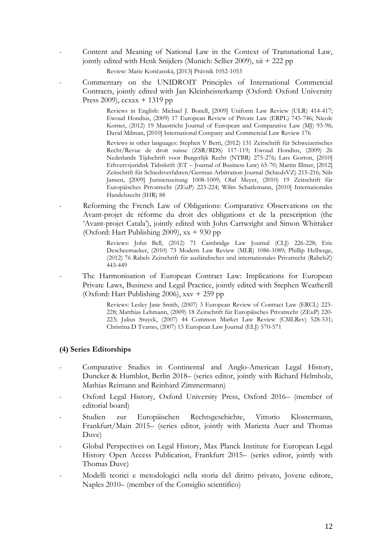- Content and Meaning of National Law in the Context of Transnational Law, jointly edited with Henk Snijders (Munich: Sellier 2009), xii + 222 pp

Review: Marie Koričanská, [2013] Právník 1052-1053

- Commentary on the UNIDROIT Principles of International Commercial Contracts, jointly edited with Jan Kleinheisterkamp (Oxford: Oxford University Press 2009),  $ccxx + 1319$  pp

> Reviews in English: Michael J. Bonell, [2009] Uniform Law Review (ULR) 414-417; Ewoud Hondius, (2009) 17 European Review of Private Law (ERPL) 745-746; Nicole Kornet, (2012) 19 Maastricht Journal of European and Comparative Law (MJ) 93-96; David Milman, [2010] International Company and Commercial Law Review 176

> Reviews in other languages: Stephen V Berti, (2012) 131 Zeitschrift für Schweizerisches Recht/Revue de droit suisse (ZSR/RDS) 117-119; Ewoud Hondius, (2009) 26 Nederlands Tijdschrift voor Burgerlijk Recht (NTBR) 275-276; Lars Gorton, [2010] Erhvervsjuridisk Tidsskrift (ET – Journal of Business Law) 65-70; Martin Illmer, [2012] Zeitschrift für Schiedsverfahren/German Arbitration Journal (SchiedsVZ) 215-216; Nils Jansen, [2009] Juristenzeitung 1008-1009; Olaf Meyer, (2010) 19 Zeitschrift für Europäisches Privatrecht (ZEuP) 223-224; Wilm Scharlemann, [2010] Internationales Handelsrecht (IHR) 88

Reforming the French Law of Obligations: Comparative Observations on the Avant-projet de réforme du droit des obligations et de la prescription (the 'Avant-projet Catala'), jointly edited with John Cartwright and Simon Whittaker (Oxford: Hart Publishing 2009),  $xx + 930$  pp

> Reviews: John Bell, (2012) 71 Cambridge Law Journal (CLJ) 226-228; Eric Descheemaeker, (2010) 73 Modern Law Review (MLR) 1086-1089; Phillip Hellwege, (2012) 76 Rabels Zeitschrift für ausländisches und internationales Privatrecht (RabelsZ) 443-449

The Harmonisation of European Contract Law: Implications for European Private Laws, Business and Legal Practice, jointly edited with Stephen Weatherill (Oxford: Hart Publishing 2006), xxv + 259 pp

> Reviews: Lesley Jane Smith, (2007) 3 European Review of Contract Law (ERCL) 223- 228; Matthias Lehmann, (2009) 18 Zeitschrift für Europäisches Privatrecht (ZEuP) 220- 223; Julius Stuyck, (2007) 44 Common Market Law Review (CMLRev) 528-531; Christina D Tvarno, (2007) 13 European Law Journal (ELJ) 570-571

### **(4) Series Editorships**

- Comparative Studies in Continental and Anglo-American Legal History, Duncker & Humblot, Berlin 2018– (series editor, jointly with Richard Helmholz, Mathias Reimann and Reinhard Zimmermann)
- Oxford Legal History, Oxford University Press, Oxford 2016– (member of editorial board)
- Studien zur Europäischen Rechtsgeschichte, Vittorio Klostermann, Frankfurt/Main 2015– (series editor, jointly with Marietta Auer and Thomas Duve)
- Global Perspectives on Legal History, Max Planck Institute for European Legal History Open Access Publication, Frankfurt 2015– (series editor, jointly with Thomas Duve)
- Modelli teorici e metodologici nella storia del diritto privato, Jovene editore, Naples 2010– (member of the Consiglio scientifico)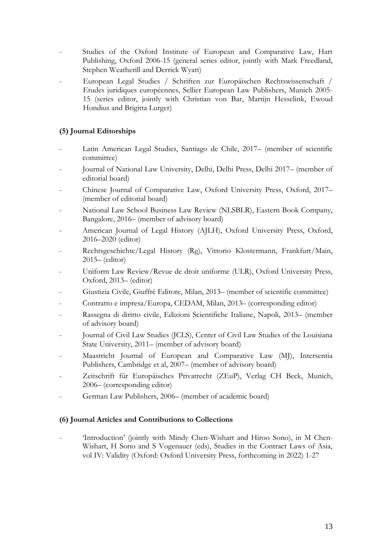- Studies of the Oxford Institute of European and Comparative Law, Hart Publishing, Oxford 2006-15 (general series editor, jointly with Mark Freedland, Stephen Weatherill and Derrick Wyatt)
- European Legal Studies / Schriften zur Europäischen Rechtswissenschaft / Etudes juridiques européennes, Sellier European Law Publishers, Munich 2005- 15 (series editor, jointly with Christian von Bar, Martijn Hesselink, Ewoud Hondius and Brigitta Lurger)

## **(5) Journal Editorships**

- Latin American Legal Studies, Santiago de Chile, 2017– (member of scientific committee)
- Journal of National Law University, Delhi, Delhi Press, Delhi 2017– (member of editorial board)
- Chinese Journal of Comparative Law, Oxford University Press, Oxford, 2017– (member of editorial board)
- National Law School Business Law Review (NLSBLR), Eastern Book Company, Bangalore, 2016– (member of advisory board)
- American Journal of Legal History (AJLH), Oxford University Press, Oxford, 2016–2020 (editor)
- Rechtsgeschichte/Legal History (Rg), Vittorio Klostermann, Frankfurt/Main, 2015– (editor)
- Uniform Law Review/Revue de droit uniforme (ULR), Oxford University Press, Oxford, 2013– (editor)
- Giustizia Civile, Giuffrè Editore, Milan, 2013– (member of scientific committee)
- Contratto e impresa/Europa, CEDAM, Milan, 2013– (corresponding editor)
- Rassegna di diritto civile, Edizioni Scientifiche Italiane, Napoli, 2013– (member of advisory board)
- Journal of Civil Law Studies (JCLS), Center of Civil Law Studies of the Louisiana State University, 2011– (member of advisory board)
- Maastricht Journal of European and Comparative Law (MJ), Intersentia Publishers, Cambridge et al, 2007– (member of advisory board)
- Zeitschrift für Europäisches Privatrecht (ZEuP), Verlag CH Beck, Munich, 2006– (corresponding editor)
- German Law Publishers, 2006– (member of academic board)

## **(6) Journal Articles and Contributions to Collections**

- 'Introduction' (jointly with Mindy Chen-Wishart and Hiroo Sono), in M Chen-Wishart, H Sono and S Vogenauer (eds), Studies in the Contract Laws of Asia, vol IV: Validity (Oxford: Oxford University Press, forthcoming in 2022) 1-27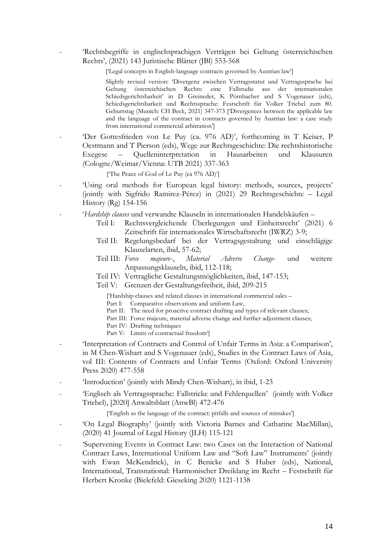- 'Rechtsbegriffe in englischsprachigen Verträgen bei Geltung österreichischen Rechts', (2021) 143 Juristische Blätter (JBl) 553-568

['Legal concepts in English-language contracts governed by Austrian law']

Slightly revised version: 'Divergenz zwischen Vertragsstatut und Vertragssprache bei Geltung österreichischen Rechts: eine Fallstudie aus der internationalen Schiedsgerichtsbarkeit' in D Greineder, K Pörnbacher and S Vogenauer (eds), Schiedsgerichtsbarkeit und Rechtssprache: Festschrift für Volker Triebel zum 80. Geburtstag (Munich: CH Beck, 2021) 347-373 ['Divergences between the applicable law and the language of the contract in contracts governed by Austrian law: a case study from international commercial arbitration']

'Der Gottesfrieden von Le Puy (ca. 976 AD)', forthcoming in T Keiser, P Oestmann and T Pierson (eds), Wege zur Rechtsgeschichte: Die rechtshistorische Exegese – Quelleninterpretation in Hausarbeiten und Klausuren (Cologne/Weimar/Vienna: UTB 2021) 337-363

['The Peace of God of Le Puy (ca 976 AD)']

- 'Using oral methods for European legal history: methods, sources, projects' (jointly with Sigfrido Ramirez-Pérez) in (2021) 29 Rechtsgeschichte – Legal History (Rg) 154-156
- '*Hardship clauses* und verwandte Klauseln in internationalen Handelskäufen
	- Teil I: Rechtsvergleichende Überlegungen und Einheitsrecht' (2021) 6 Zeitschrift für internationales Wirtschaftsrecht (IWRZ) 3-9;
	- Teil II: Regelungsbedarf bei der Vertragsgestaltung und einschlägige Klauselarten, ibid, 57-62;
	- Teil III: *Force majeure*-, *Material Adverse Change* und weitere Anpassungsklauseln, ibid, 112-118;
	- Teil IV: Vertragliche Gestaltungsmöglichkeiten, ibid, 147-153;
	- Teil V: Grenzen der Gestaltungsfreiheit, ibid, 209-215

['Hardship clauses and related clauses in international commercial sales –

Part I: Comparative observations and uniform Law,

- Part II: The need for proactive contract drafting and types of relevant clauses;
- Part III: Force majeure, material adverse change and further adjustment clauses;
- Part IV: Drafting techniques
- Part V: Limits of contractual freedom']
- 'Interpretation of Contracts and Control of Unfair Terms in Asia: a Comparison', in M Chen-Wishart and S Vogenauer (eds), Studies in the Contract Laws of Asia, vol III: Contents of Contracts and Unfair Terms (Oxford: Oxford University Press 2020) 477-558
- 'Introduction' (jointly with Mindy Chen-Wishart), in ibid, 1-23
- 'Englisch als Vertragssprache: Fallstricke und Fehlerquellen' (jointly with Volker Triebel), [2020] Anwaltsblatt (AnwBl) 472-476

['English as the language of the contract: pitfalls and sources of mistakes']

- 'On Legal Biography' (jointly with Victoria Barnes and Catharine MacMillan), (2020) 41 Journal of Legal History (JLH) 115-121
- 'Supervening Events in Contract Law: two Cases on the Interaction of National Contract Laws, International Uniform Law and "Soft Law" Instruments' (jointly with Ewan McKendrick), in C Benicke and S Huber (eds), National, International, Transnational: Harmonischer Dreiklang im Recht – Festschrift für Herbert Kronke (Bielefeld: Gieseking 2020) 1121-1138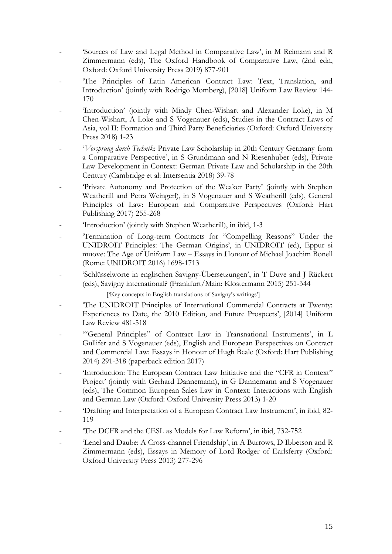- 'Sources of Law and Legal Method in Comparative Law', in M Reimann and R Zimmermann (eds), The Oxford Handbook of Comparative Law, (2nd edn, Oxford: Oxford University Press 2019) 877-901
- The Principles of Latin American Contract Law: Text, Translation, and Introduction' (jointly with Rodrigo Momberg), [2018] Uniform Law Review 144- 170
- 'Introduction' (jointly with Mindy Chen-Wishart and Alexander Loke), in M Chen-Wishart, A Loke and S Vogenauer (eds), Studies in the Contract Laws of Asia, vol II: Formation and Third Party Beneficiaries (Oxford: Oxford University Press 2018) 1-23
- '*Vorsprung durch Technik*: Private Law Scholarship in 20th Century Germany from a Comparative Perspective', in S Grundmann and N Riesenhuber (eds), Private Law Development in Context: German Private Law and Scholarship in the 20th Century (Cambridge et al: Intersentia 2018) 39-78
- 'Private Autonomy and Protection of the Weaker Party' (jointly with Stephen Weatherill and Petra Weingerl), in S Vogenauer and S Weatherill (eds), General Principles of Law: European and Comparative Perspectives (Oxford: Hart Publishing 2017) 255-268
- 'Introduction' (jointly with Stephen Weatherill), in ibid, 1-3
- 'Termination of Long-term Contracts for "Compelling Reasons" Under the UNIDROIT Principles: The German Origins', in UNIDROIT (ed), Eppur si muove: The Age of Uniform Law – Essays in Honour of Michael Joachim Bonell (Rome: UNIDROIT 2016) 1698-1713
- 'Schlüsselworte in englischen Savigny-Übersetzungen', in T Duve and J Rückert (eds), Savigny international? (Frankfurt/Main: Klostermann 2015) 251-344

['Key concepts in English translations of Savigny's writings']

- 'The UNIDROIT Principles of International Commercial Contracts at Twenty: Experiences to Date, the 2010 Edition, and Future Prospects', [2014] Uniform Law Review 481-518
- "General Principles" of Contract Law in Transnational Instruments', in L Gullifer and S Vogenauer (eds), English and European Perspectives on Contract and Commercial Law: Essays in Honour of Hugh Beale (Oxford: Hart Publishing 2014) 291-318 (paperback edition 2017)
- 'Introduction: The European Contract Law Initiative and the "CFR in Context" Project' (jointly with Gerhard Dannemann), in G Dannemann and S Vogenauer (eds), The Common European Sales Law in Context: Interactions with English and German Law (Oxford: Oxford University Press 2013) 1-20
- 'Drafting and Interpretation of a European Contract Law Instrument', in ibid, 82- 119
- The DCFR and the CESL as Models for Law Reform', in ibid, 732-752
- 'Lenel and Daube: A Cross-channel Friendship', in A Burrows, D Ibbetson and R Zimmermann (eds), Essays in Memory of Lord Rodger of Earlsferry (Oxford: Oxford University Press 2013) 277-296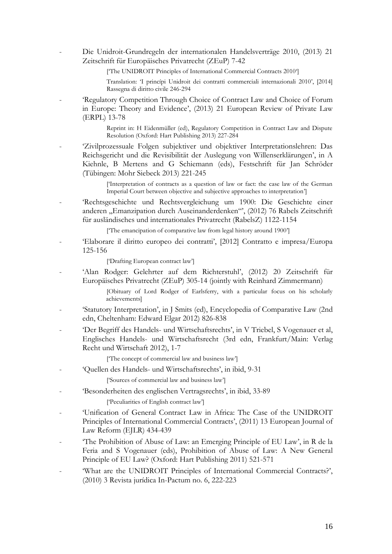- Die Unidroit-Grundregeln der internationalen Handelsverträge 2010, (2013) 21 Zeitschrift für Europäisches Privatrecht (ZEuP) 7-42

['The UNIDROIT Principles of International Commercial Contracts 2010']

Translation: 'I princípi Unidroit dei contratti commerciali internazionali 2010', [2014] Rassegna di diritto civile 246-294

'Regulatory Competition Through Choice of Contract Law and Choice of Forum in Europe: Theory and Evidence', (2013) 21 European Review of Private Law (ERPL) 13-78

> Reprint in: H Eidenmüller (ed), Regulatory Competition in Contract Law and Dispute Resolution (Oxford: Hart Publishing 2013) 227-284

- 'Zivilprozessuale Folgen subjektiver und objektiver Interpretationslehren: Das Reichsgericht und die Revisibilität der Auslegung von Willenserklärungen', in A Kiehnle, B Mertens and G Schiemann (eds), Festschrift für Jan Schröder (Tübingen: Mohr Siebeck 2013) 221-245

> ['Interpretation of contracts as a question of law or fact: the case law of the German Imperial Court between objective and subjective approaches to interpretation']

- 'Rechtsgeschichte und Rechtsvergleichung um 1900: Die Geschichte einer anderen "Emanzipation durch Auseinanderdenken"', (2012) 76 Rabels Zeitschrift für ausländisches und internationales Privatrecht (RabelsZ) 1122-1154

['The emancipation of comparative law from legal history around 1900']

- 'Elaborare il diritto europeo dei contratti', [2012] Contratto e impresa/Europa 125-156

['Drafting European contract law']

- 'Alan Rodger: Gelehrter auf dem Richterstuhl', (2012) 20 Zeitschrift für Europäisches Privatrecht (ZEuP) 305-14 (jointly with Reinhard Zimmermann)

> [Obituary of Lord Rodger of Earlsferry, with a particular focus on his scholarly achievements]

- 'Statutory Interpretation', in J Smits (ed), Encyclopedia of Comparative Law (2nd edn, Cheltenham: Edward Elgar 2012) 826-838
- 'Der Begriff des Handels- und Wirtschaftsrechts', in V Triebel, S Vogenauer et al, Englisches Handels- und Wirtschaftsrecht (3rd edn, Frankfurt/Main: Verlag Recht und Wirtschaft 2012), 1-7

['The concept of commercial law and business law']

- 'Quellen des Handels- und Wirtschaftsrechts', in ibid, 9-31

['Sources of commercial law and business law']

- 'Besonderheiten des englischen Vertragsrechts', in ibid, 33-89 ['Peculiarities of English contract law']
- 'Unification of General Contract Law in Africa: The Case of the UNIDROIT Principles of International Commercial Contracts', (2011) 13 European Journal of Law Reform (EJLR) 434-439
- 'The Prohibition of Abuse of Law: an Emerging Principle of EU Law', in R de la Feria and S Vogenauer (eds), Prohibition of Abuse of Law: A New General Principle of EU Law? (Oxford: Hart Publishing 2011) 521-571
- 'What are the UNIDROIT Principles of International Commercial Contracts?', (2010) 3 Revista jurídica In-Pactum no. 6, 222-223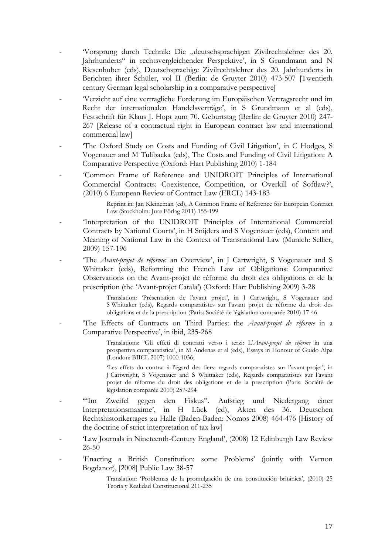- 'Vorsprung durch Technik: Die "deutschsprachigen Zivilrechtslehrer des 20. Jahrhunderts" in rechtsvergleichender Perspektive', in S Grundmann and N Riesenhuber (eds), Deutschsprachige Zivilrechtslehrer des 20. Jahrhunderts in Berichten ihrer Schüler, vol II (Berlin: de Gruyter 2010) 473-507 [Twentieth century German legal scholarship in a comparative perspective]
- 'Verzicht auf eine vertragliche Forderung im Europäischen Vertragsrecht und im Recht der internationalen Handelsverträge', in S Grundmann et al (eds), Festschrift für Klaus J. Hopt zum 70. Geburtstag (Berlin: de Gruyter 2010) 247- 267 [Release of a contractual right in European contract law and international commercial law]
- The Oxford Study on Costs and Funding of Civil Litigation', in C Hodges, S Vogenauer and M Tulibacka (eds), The Costs and Funding of Civil Litigation: A Comparative Perspective (Oxford: Hart Publishing 2010) 1-184
- 'Common Frame of Reference and UNIDROIT Principles of International Commercial Contracts: Coexistence, Competition, or Overkill of Softlaw?', (2010) 6 European Review of Contract Law (ERCL) 143-183

Reprint in: Jan Kleineman (ed), A Common Frame of Reference for European Contract Law (Stockholm: Jure Förlag 2011) 155-199

- 'Interpretation of the UNIDROIT Principles of International Commercial Contracts by National Courts', in H Snijders and S Vogenauer (eds), Content and Meaning of National Law in the Context of Transnational Law (Munich: Sellier, 2009) 157-196
- 'The *Avant-projet de réforme*: an Overview', in J Cartwright, S Vogenauer and S Whittaker (eds), Reforming the French Law of Obligations: Comparative Observations on the Avant-projet de réforme du droit des obligations et de la prescription (the 'Avant-projet Catala') (Oxford: Hart Publishing 2009) 3-28

Translation: 'Présentation de l'avant projet', in J Cartwright, S Vogenauer and S Whittaker (eds), Regards comparatistes sur l'avant projet de réforme du droit des obligations et de la prescription (Paris: Société de législation comparée 2010) 17-46

- 'The Effects of Contracts on Third Parties: the *Avant-projet de réforme* in a Comparative Perspective', in ibid, 235-268

> Translations: 'Gli effeti di contratti verso i terzi: L'*Avant-projet du réforme* in una prospettiva comparatistica', in M Andenas et al (eds), Essays in Honour of Guido Alpa (London: BIICL 2007) 1000-1036;

> 'Les effets du contrat à l'égard des tiers: regards comparatistes sur l'avant-projet', in J Cartwright, S Vogenauer and S Whittaker (eds), Regards comparatistes sur l'avant projet de réforme du droit des obligations et de la prescription (Paris: Société de législation comparée 2010) 257-294

- '"Im Zweifel gegen den Fiskus". Aufstieg und Niedergang einer Interpretationsmaxime', in H Lück (ed), Akten des 36. Deutschen Rechtshistorikertages zu Halle (Baden-Baden: Nomos 2008) 464-476 [History of the doctrine of strict interpretation of tax law]
- 'Law Journals in Nineteenth-Century England', (2008) 12 Edinburgh Law Review 26-50
- 'Enacting a British Constitution: some Problems' (jointly with Vernon Bogdanor), [2008] Public Law 38-57

Translation: 'Problemas de la promulgación de una constitución británica', (2010) 25 Teoría y Realidad Constitucional 211-235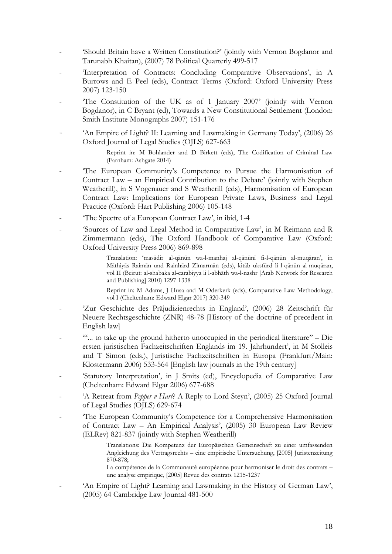- 'Should Britain have a Written Constitution?' (jointly with Vernon Bogdanor and Tarunabh Khaitan), (2007) 78 Political Quarterly 499-517
- 'Interpretation of Contracts: Concluding Comparative Observations', in A Burrows and E Peel (eds), Contract Terms (Oxford: Oxford University Press 2007) 123-150
- The Constitution of the UK as of 1 January 2007' (jointly with Vernon Bogdanor), in C Bryant (ed), Towards a New Constitutional Settlement (London: Smith Institute Monographs 2007) 151-176
- 'An Empire of Light? II: Learning and Lawmaking in Germany Today', (2006) 26 Oxford Journal of Legal Studies (OJLS) 627-663

Reprint in: M Bohlander and D Birkett (eds), The Codification of Criminal Law (Farnham: Ashgate 2014)

- 'The European Community's Competence to Pursue the Harmonisation of Contract Law – an Empirical Contribution to the Debate' (jointly with Stephen Weatherill), in S Vogenauer and S Weatherill (eds), Harmonisation of European Contract Law: Implications for European Private Laws, Business and Legal Practice (Oxford: Hart Publishing 2006) 105-148
- The Spectre of a European Contract Law', in ibid, 1-4
- 'Sources of Law and Legal Method in Comparative Law', in M Reimann and R Zimmermann (eds), The Oxford Handbook of Comparative Law (Oxford: Oxford University Press 2006) 869-898

Translation: 'masādir al-qānūn wa-l-manhaj al-qānūnī fi-l-qānūn al-muqāran', in Māthiyās Raimān und Rainhārd Zīmarmān (eds), kitāb uksfūrd li l-qānūn al-muqāran, vol II (Beirut: al-shabaka al-carabiyya li l-abhāth wa-l-nashr [Arab Network for Research and Publishing] 2010) 1297-1338

Reprint in: M Adams, J Husa and M Oderkerk (eds), Comparative Law Methodology, vol I (Cheltenham: Edward Elgar 2017) 320-349

- 'Zur Geschichte des Präjudizienrechts in England', (2006) 28 Zeitschrift für Neuere Rechtsgeschichte (ZNR) 48-78 [History of the doctrine of precedent in English law]
- '"... to take up the ground hitherto unoccupied in the periodical literature" Die ersten juristischen Fachzeitschriften Englands im 19. Jahrhundert', in M Stolleis and T Simon (eds.), Juristische Fachzeitschriften in Europa (Frankfurt/Main: Klostermann 2006) 533-564 [English law journals in the 19th century]
- 'Statutory Interpretation', in J Smits (ed), Encyclopedia of Comparative Law (Cheltenham: Edward Elgar 2006) 677-688
- 'A Retreat from *Pepper v Hart*? A Reply to Lord Steyn', (2005) 25 Oxford Journal of Legal Studies (OJLS) 629-674
- 'The European Community's Competence for a Comprehensive Harmonisation of Contract Law – An Empirical Analysis', (2005) 30 European Law Review (ELRev) 821-837 (jointly with Stephen Weatherill)

Translations: Die Kompetenz der Europäischen Gemeinschaft zu einer umfassenden Angleichung des Vertragsrechts – eine empirische Untersuchung, [2005] Juristenzeitung 870-878;

La compétence de la Communauté européenne pour harmoniser le droit des contrats – une analyse empirique, [2005] Revue des contrats 1215-1237

- 'An Empire of Light? Learning and Lawmaking in the History of German Law', (2005) 64 Cambridge Law Journal 481-500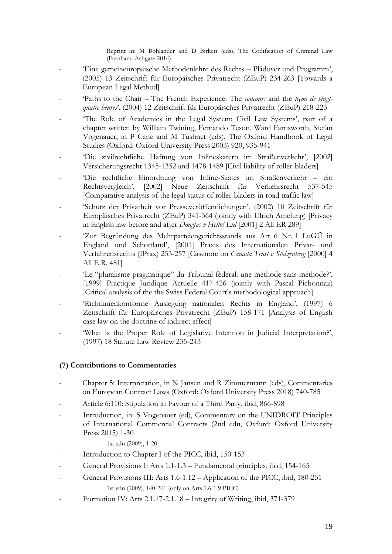Reprint in: M Bohlander and D Birkett (eds), The Codification of Criminal Law (Farnham: Ashgate 2014)

- 'Eine gemeineuropäische Methodenlehre des Rechts Plädoyer und Programm', (2005) 13 Zeitschrift für Europäisches Privatrecht (ZEuP) 234-263 [Towards a European Legal Method]
- 'Paths to the Chair The French Experience: The *concours* and the *leçon de vingtquatre heures*', (2004) 12 Zeitschrift für Europäisches Privatrecht (ZEuP) 218-223
- The Role of Academics in the Legal System: Civil Law Systems', part of a chapter written by William Twining, Fernando Teson, Ward Farnsworth, Stefan Vogenauer, in P Cane and M Tushnet (eds), The Oxford Handbook of Legal Studies (Oxford: Oxford University Press 2003) 920, 935-941
- 'Die zivilrechtliche Haftung von Inlineskatern im Straßenverkehr', [2002] Versicherungsrecht 1345-1352 and 1478-1489 [Civil liability of roller-bladers]
- 'Die rechtliche Einordnung von Inline-Skates im Straßenverkehr ein Rechtsvergleich', [2002] Neue Zeitschrift für Verkehrsrecht 537-545 [Comparative analysis of the legal status of roller-bladers in road traffic law]
- 'Schutz der Privatheit vor Presseveröffentlichungen', (2002) 10 Zeitschrift für Europäisches Privatrecht (ZEuP) 341-364 (jointly with Ulrich Amelung) [Privacy in English law before and after *Douglas v Hello! Ltd* [2001] 2 All ER 289]
- 'Zur Begründung des Mehrparteiengerichtsstands aus Art. 6 Nr. 1 LuGÜ in England und Schottland', [2001] Praxis des Internationalen Privat- und Verfahrensrechts (IPrax) 253-257 [Casenote on *Canada Trust v Stolzenberg* [2000] 4 All E.R. 481]
- 'Le "pluralisme pragmatique" du Tribunal fédéral: une méthode sans méthode?', [1999] Practique Juridique Actuelle 417-426 (jointly with Pascal Pichonnaz) [Critical analysis of the the Swiss Federal Court's methodological approach]
- 'Richtlinienkonforme Auslegung nationalen Rechts in England', (1997) 6 Zeitschrift für Europäisches Privatrecht (ZEuP) 158-171 [Analysis of English case law on the doctrine of indirect effect]
- 'What is the Proper Role of Legislative Intention in Judicial Interpretation?', (1997) 18 Statute Law Review 235-243

## **(7) Contributions to Commentaries**

- Chapter 5: Interpretation, in N Jansen and R Zimmermann (eds), Commentaries on European Contract Laws (Oxford: Oxford University Press 2018) 740-785
- Article 6:110: Stipulation in Favour of a Third Party, ibid, 866-898
- Introduction, in: S Vogenauer (ed), Commentary on the UNIDROIT Principles of International Commercial Contracts (2nd edn, Oxford: Oxford University Press 2015) 1-30

## 1st edn (2009), 1-20

- Introduction to Chapter I of the PICC, ibid, 150-153
- General Provisions I: Arts 1.1-1.3 Fundamental principles, ibid, 154-165
- General Provisions III: Arts 1.6-1.12 Application of the PICC, ibid, 180-251 1st edn (2009), 140-201 (only on Arts 1.6-1.9 PICC)
- Formation IV: Arts 2.1.17-2.1.18 Integrity of Writing, ibid, 371-379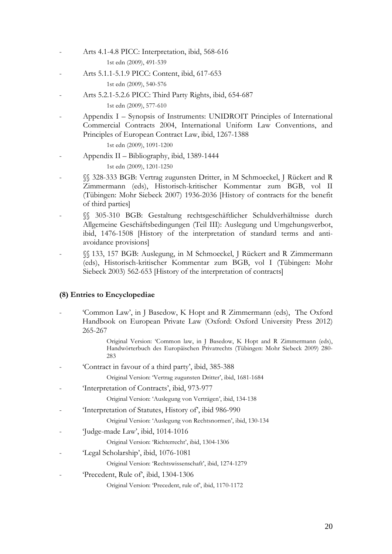- Arts 4.1-4.8 PICC: Interpretation, ibid, 568-616 1st edn (2009), 491-539
- Arts 5.1.1-5.1.9 PICC: Content, ibid, 617-653

1st edn (2009), 540-576

- Arts 5.2.1-5.2.6 PICC: Third Party Rights, ibid, 654-687

1st edn (2009), 577-610

- Appendix I – Synopsis of Instruments: UNIDROIT Principles of International Commercial Contracts 2004, International Uniform Law Conventions, and Principles of European Contract Law, ibid, 1267-1388

1st edn (2009), 1091-1200

- Appendix II – Bibliography, ibid, 1389-1444

1st edn (2009), 1201-1250

- §§ 328-333 BGB: Vertrag zugunsten Dritter, in M Schmoeckel, J Rückert and R Zimmermann (eds), Historisch-kritischer Kommentar zum BGB, vol II (Tübingen: Mohr Siebeck 2007) 1936-2036 [History of contracts for the benefit of third parties]
- §§ 305-310 BGB: Gestaltung rechtsgeschäftlicher Schuldverhältnisse durch Allgemeine Geschäftsbedingungen (Teil III): Auslegung und Umgehungsverbot, ibid, 1476-1508 [History of the interpretation of standard terms and antiavoidance provisions]
- §§ 133, 157 BGB: Auslegung, in M Schmoeckel, J Rückert and R Zimmermann (eds), Historisch-kritischer Kommentar zum BGB, vol I (Tübingen: Mohr Siebeck 2003) 562-653 [History of the interpretation of contracts]

## **(8) Entries to Encyclopediae**

- 'Common Law', in J Basedow, K Hopt and R Zimmermann (eds), The Oxford Handbook on European Private Law (Oxford: Oxford University Press 2012) 265-267

> Original Version: 'Common law, in J Basedow, K Hopt and R Zimmermann (eds), Handwörterbuch des Europäischen Privatrechts (Tübingen: Mohr Siebeck 2009) 280- 283

- 'Contract in favour of a third party', ibid, 385-388

Original Version: 'Vertrag zugunsten Dritter', ibid, 1681-1684

- 'Interpretation of Contracts', ibid, 973-977

Original Version: 'Auslegung von Verträgen', ibid, 134-138

'Interpretation of Statutes, History of', ibid 986-990

Original Version: 'Auslegung von Rechtsnormen', ibid, 130-134

- 'Judge-made Law', ibid, 1014-1016

Original Version: 'Richterrecht', ibid, 1304-1306

- 'Legal Scholarship', ibid, 1076-1081

Original Version: 'Rechtswissenschaft', ibid, 1274-1279

'Precedent, Rule of', ibid, 1304-1306

Original Version: 'Precedent, rule of', ibid, 1170-1172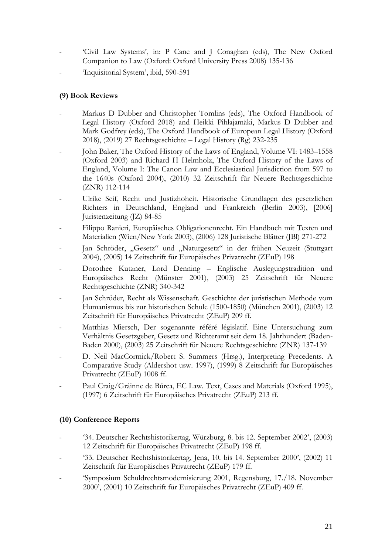- 'Civil Law Systems', in: P Cane and J Conaghan (eds), The New Oxford Companion to Law (Oxford: Oxford University Press 2008) 135-136
- 'Inquisitorial System', ibid, 590-591

## **(9) Book Reviews**

- Markus D Dubber and Christopher Tomlins (eds), The Oxford Handbook of Legal History (Oxford 2018) and Heikki Pihlajamäki, Markus D Dubber and Mark Godfrey (eds), The Oxford Handbook of European Legal History (Oxford 2018), (2019) 27 Rechtsgeschichte – Legal History (Rg) 232-235
- John Baker, The Oxford History of the Laws of England, Volume VI: 1483-1558 (Oxford 2003) and Richard H Helmholz, The Oxford History of the Laws of England, Volume I: The Canon Law and Ecclesiastical Jurisdiction from 597 to the 1640s (Oxford 2004), (2010) 32 Zeitschrift für Neuere Rechtsgeschichte (ZNR) 112-114
- Ulrike Seif, Recht und Justizhoheit. Historische Grundlagen des gesetzlichen Richters in Deutschland, England und Frankreich (Berlin 2003), [2006] Juristenzeitung (JZ) 84-85
- Filippo Ranieri, Europäisches Obligationenrecht. Ein Handbuch mit Texten und Materialien (Wien/New York 2003), (2006) 128 Juristische Blätter (JBl) 271-272
- Jan Schröder, "Gesetz" und "Naturgesetz" in der frühen Neuzeit (Stuttgart 2004), (2005) 14 Zeitschrift für Europäisches Privatrecht (ZEuP) 198
- Dorothee Kutzner, Lord Denning Englische Auslegungstradition und Europäisches Recht (Münster 2001), (2003) 25 Zeitschrift für Neuere Rechtsgeschichte (ZNR) 340-342
- Jan Schröder, Recht als Wissenschaft. Geschichte der juristischen Methode vom Humanismus bis zur historischen Schule (1500-1850) (München 2001), (2003) 12 Zeitschrift für Europäisches Privatrecht (ZEuP) 209 ff.
- Matthias Miersch, Der sogenannte référé législatif. Eine Untersuchung zum Verhältnis Gesetzgeber, Gesetz und Richteramt seit dem 18. Jahrhundert (Baden-Baden 2000), (2003) 25 Zeitschrift für Neuere Rechtsgeschichte (ZNR) 137-139
- D. Neil MacCormick/Robert S. Summers (Hrsg.), Interpreting Precedents. A Comparative Study (Aldershot usw. 1997), (1999) 8 Zeitschrift für Europäisches Privatrecht (ZEuP) 1008 ff.
- Paul Craig/Gráinne de Búrca, EC Law. Text, Cases and Materials (Oxford 1995), (1997) 6 Zeitschrift für Europäisches Privatrecht (ZEuP) 213 ff.

## **(10) Conference Reports**

- '34. Deutscher Rechtshistorikertag, Würzburg, 8. bis 12. September 2002', (2003) 12 Zeitschrift für Europäisches Privatrecht (ZEuP) 198 ff.
- '33. Deutscher Rechtshistorikertag, Jena, 10. bis 14. September 2000', (2002) 11 Zeitschrift für Europäisches Privatrecht (ZEuP) 179 ff.
- 'Symposium Schuldrechtsmodernisierung 2001, Regensburg, 17./18. November 2000', (2001) 10 Zeitschrift für Europäisches Privatrecht (ZEuP) 409 ff.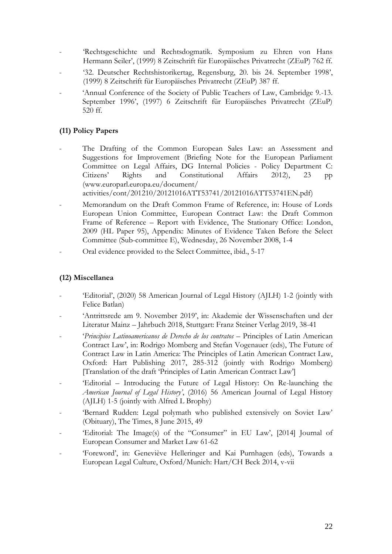- 'Rechtsgeschichte und Rechtsdogmatik. Symposium zu Ehren von Hans Hermann Seiler', (1999) 8 Zeitschrift für Europäisches Privatrecht (ZEuP) 762 ff.
- '32. Deutscher Rechtshistorikertag, Regensburg, 20. bis 24. September 1998', (1999) 8 Zeitschrift für Europäisches Privatrecht (ZEuP) 387 ff.
- 'Annual Conference of the Society of Public Teachers of Law, Cambridge 9.-13. September 1996', (1997) 6 Zeitschrift für Europäisches Privatrecht (ZEuP) 520 ff.

## **(11) Policy Papers**

The Drafting of the Common European Sales Law: an Assessment and Suggestions for Improvement (Briefing Note for the European Parliament Committee on Legal Affairs, DG Internal Policies - Policy Department C: Citizens' Rights and Constitutional Affairs 2012), 23 pp [\(www.europarl.europa.eu/document/](http://www.europarl.europa.eu/document/)

activities/cont/201210/20121016ATT53741/20121016ATT53741EN.pdf)

- Memorandum on the Draft Common Frame of Reference, in: House of Lords European Union Committee, European Contract Law: the Draft Common Frame of Reference – Report with Evidence, The Stationary Office: London, 2009 (HL Paper 95), Appendix: Minutes of Evidence Taken Before the Select Committee (Sub-committee E), Wednesday, 26 November 2008, 1-4
- Oral evidence provided to the Select Committee, ibid., 5-17

## **(12) Miscellanea**

- 'Editorial', (2020) 58 American Journal of Legal History (AJLH) 1-2 (jointly with Felice Batlan)
- 'Antrittsrede am 9. November 2019', in: Akademie der Wissenschaften und der Literatur Mainz – Jahrbuch 2018, Stuttgart: Franz Steiner Verlag 2019, 38-41
- '*Principios Latinoamericanos de Derecho de los contratos* Principles of Latin American Contract Law', in: Rodrigo Momberg and Stefan Vogenauer (eds), The Future of Contract Law in Latin America: The Principles of Latin American Contract Law, Oxford: Hart Publishing 2017, 285-312 (jointly with Rodrigo Momberg) [Translation of the draft 'Principles of Latin American Contract Law']
- 'Editorial Introducing the Future of Legal History: On Re-launching the *American Journal of Legal History'*, (2016) 56 American Journal of Legal History (AJLH) 1-5 (jointly with Alfred L Brophy)
- 'Bernard Rudden: Legal polymath who published extensively on Soviet Law' (Obituary), The Times, 8 June 2015, 49
- 'Editorial: The Image(s) of the "Consumer" in EU Law', [2014] Journal of European Consumer and Market Law 61-62
- 'Foreword', in: Geneviève Helleringer and Kai Purnhagen (eds), Towards a European Legal Culture, Oxford/Munich: Hart/CH Beck 2014, v-vii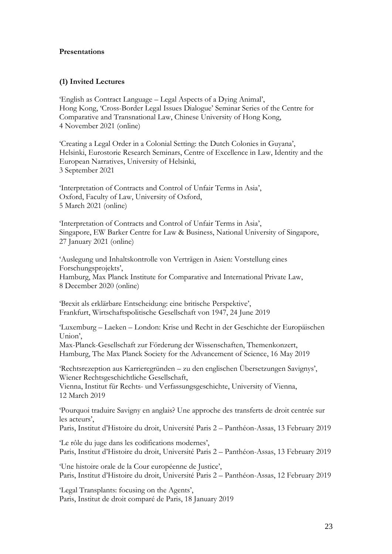### **Presentations**

### **(1) Invited Lectures**

'English as Contract Language – Legal Aspects of a Dying Animal', Hong Kong, 'Cross-Border Legal Issues Dialogue' Seminar Series of the Centre for Comparative and Transnational Law, Chinese University of Hong Kong, 4 November 2021 (online)

'Creating a Legal Order in a Colonial Setting: the Dutch Colonies in Guyana', Helsinki, Eurostorie Research Seminars, Centre of Excellence in Law, Identity and the European Narratives, University of Helsinki, 3 September 2021

'Interpretation of Contracts and Control of Unfair Terms in Asia', Oxford, Faculty of Law, University of Oxford, 5 March 2021 (online)

'Interpretation of Contracts and Control of Unfair Terms in Asia', Singapore, EW Barker Centre for Law & Business, National University of Singapore, 27 January 2021 (online)

'Auslegung und Inhaltskontrolle von Verträgen in Asien: Vorstellung eines Forschungsprojekts', Hamburg, Max Planck Institute for Comparative and International Private Law, 8 December 2020 (online)

'Brexit als erklärbare Entscheidung: eine britische Perspektive', Frankfurt, Wirtschaftspolitische Gesellschaft von 1947, 24 June 2019

'Luxemburg – Laeken – London: Krise und Recht in der Geschichte der Europäischen Union',

Max-Planck-Gesellschaft zur Förderung der Wissenschaften, Themenkonzert, Hamburg, The Max Planck Society for the Advancement of Science, 16 May 2019

'Rechtsrezeption aus Karrieregründen – zu den englischen Übersetzungen Savignys', Wiener Rechtsgeschichtliche Gesellschaft,

Vienna, Institut für Rechts- und Verfassungsgeschichte, University of Vienna, 12 March 2019

'Pourquoi traduire Savigny en anglais? Une approche des transferts de droit centrée sur les acteurs',

Paris, Institut d'Histoire du droit, Université Paris 2 – Panthéon-Assas, 13 February 2019

'Le rôle du juge dans les codifications modernes', Paris, Institut d'Histoire du droit, Université Paris 2 – Panthéon-Assas, 13 February 2019

'Une histoire orale de la Cour européenne de Justice', Paris, Institut d'Histoire du droit, Université Paris 2 – Panthéon-Assas, 12 February 2019

'Legal Transplants: focusing on the Agents', Paris, Institut de droit comparé de Paris, 18 January 2019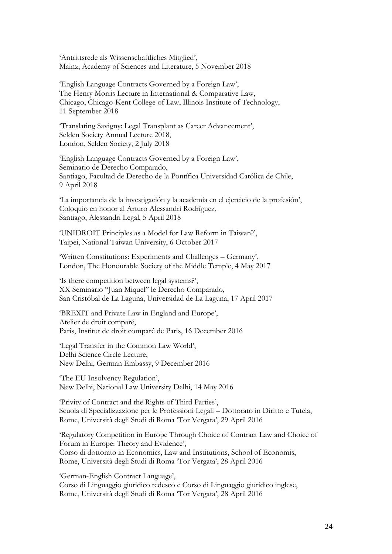'Antrittsrede als Wissenschaftliches Mitglied', Mainz, Academy of Sciences and Literature, 5 November 2018

'English Language Contracts Governed by a Foreign Law', The Henry Morris Lecture in International & Comparative Law, Chicago, Chicago-Kent College of Law, Illinois Institute of Technology, 11 September 2018

'Translating Savigny: Legal Transplant as Career Advancement', Selden Society Annual Lecture 2018, London, Selden Society, 2 July 2018

'English Language Contracts Governed by a Foreign Law', Seminario de Derecho Comparado, Santiago, Facultad de Derecho de la Pontífica Universidad Católica de Chile, 9 April 2018

'La importancia de la investigación y la academia en el ejercicio de la profesión', Coloquio en honor al Arturo Alessandri Rodríguez, Santiago, Alessandri Legal, 5 April 2018

'UNIDROIT Principles as a Model for Law Reform in Taiwan?', Taipei, National Taiwan University, 6 October 2017

'Written Constitutions: Experiments and Challenges – Germany', London, The Honourable Society of the Middle Temple, 4 May 2017

'Is there competition between legal systems?', XX Seminario "Juan Miquel" le Derecho Comparado, San Cristóbal de La Laguna, Universidad de La Laguna, 17 April 2017

'BREXIT and Private Law in England and Europe', Atelier de droit comparé, Paris, Institut de droit comparé de Paris, 16 December 2016

'Legal Transfer in the Common Law World', Delhi Science Circle Lecture, New Delhi, German Embassy, 9 December 2016

'The EU Insolvency Regulation', New Delhi, National Law University Delhi, 14 May 2016

'Privity of Contract and the Rights of Third Parties', Scuola di Specializzazione per le Professioni Legali – Dottorato in Diritto e Tutela, Rome, Università degli Studi di Roma 'Tor Vergata', 29 April 2016

'Regulatory Competition in Europe Through Choice of Contract Law and Choice of Forum in Europe: Theory and Evidence', Corso di dottorato in Economics, Law and Institutions, School of Economis, Rome, Università degli Studi di Roma 'Tor Vergata', 28 April 2016

'German-English Contract Language', Corso di Linguaggio giuridico tedesco e Corso di Linguaggio giuridico inglese, Rome, Università degli Studi di Roma 'Tor Vergata', 28 April 2016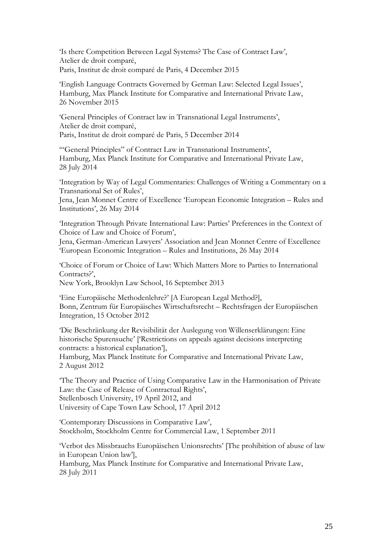'Is there Competition Between Legal Systems? The Case of Contract Law', Atelier de droit comparé, Paris, Institut de droit comparé de Paris, 4 December 2015

'English Language Contracts Governed by German Law: Selected Legal Issues', Hamburg, Max Planck Institute for Comparative and International Private Law, 26 November 2015

'General Principles of Contract law in Transnational Legal Instruments', Atelier de droit comparé, Paris, Institut de droit comparé de Paris, 5 December 2014

'"General Principles" of Contract Law in Transnational Instruments', Hamburg, Max Planck Institute for Comparative and International Private Law, 28 July 2014

'Integration by Way of Legal Commentaries: Challenges of Writing a Commentary on a Transnational Set of Rules',

Jena, Jean Monnet Centre of Excellence 'European Economic Integration – Rules and Institutions', 26 May 2014

'Integration Through Private International Law: Parties' Preferences in the Context of Choice of Law and Choice of Forum',

Jena, German-American Lawyers' Association and Jean Monnet Centre of Excellence 'European Economic Integration – Rules and Institutions, 26 May 2014

'Choice of Forum or Choice of Law: Which Matters More to Parties to International Contracts?',

New York, Brooklyn Law School, 16 September 2013

'Eine Europäische Methodenlehre?' [A European Legal Method?], Bonn, Zentrum für Europäisches Wirtschaftsrecht – Rechtsfragen der Europäischen Integration, 15 October 2012

'Die Beschränkung der Revisibilität der Auslegung von Willenserklärungen: Eine historische Spurensuche' ['Restrictions on appeals against decisions interpreting contracts: a historical explanation'],

Hamburg, Max Planck Institute for Comparative and International Private Law, 2 August 2012

'The Theory and Practice of Using Comparative Law in the Harmonisation of Private Law: the Case of Release of Contractual Rights', Stellenbosch University, 19 April 2012, and University of Cape Town Law School, 17 April 2012

'Contemporary Discussions in Comparative Law', Stockholm, Stockholm Centre for Commercial Law, 1 September 2011

'Verbot des Missbrauchs Europäischen Unionsrechts' [The prohibition of abuse of law in European Union law'], Hamburg, Max Planck Institute for Comparative and International Private Law, 28 July 2011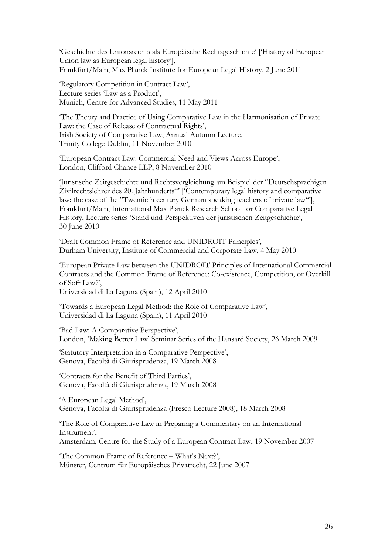'Geschichte des Unionsrechts als Europäische Rechtsgeschichte' ['History of European Union law as European legal history'], Frankfurt/Main, Max Planck Institute for European Legal History, 2 June 2011

'Regulatory Competition in Contract Law', Lecture series 'Law as a Product', Munich, Centre for Advanced Studies, 11 May 2011

'The Theory and Practice of Using Comparative Law in the Harmonisation of Private Law: the Case of Release of Contractual Rights', Irish Society of Comparative Law, Annual Autumn Lecture, Trinity College Dublin, 11 November 2010

'European Contract Law: Commercial Need and Views Across Europe', London, Clifford Chance LLP, 8 November 2010

'Juristische Zeitgeschichte und Rechtsvergleichung am Beispiel der "Deutschsprachigen Zivilrechtslehrer des 20. Jahrhunderts"' ['Contemporary legal history and comparative law: the case of the "Twentieth century German speaking teachers of private law"'], Frankfurt/Main, International Max Planck Research School for Comparative Legal History, Lecture series 'Stand und Perspektiven der juristischen Zeitgeschichte', 30 June 2010

'Draft Common Frame of Reference and UNIDROIT Principles', Durham University, Institute of Commercial and Corporate Law, 4 May 2010

'European Private Law between the UNIDROIT Principles of International Commercial Contracts and the Common Frame of Reference: Co-existence, Competition, or Overkill of Soft Law?',

Universidad di La Laguna (Spain), 12 April 2010

'Towards a European Legal Method: the Role of Comparative Law', Universidad di La Laguna (Spain), 11 April 2010

'Bad Law: A Comparative Perspective', London, 'Making Better Law' Seminar Series of the Hansard Society, 26 March 2009

'Statutory Interpretation in a Comparative Perspective', Genova, Facoltà di Giurisprudenza, 19 March 2008

'Contracts for the Benefit of Third Parties', Genova, Facoltà di Giurisprudenza, 19 March 2008

'A European Legal Method', Genova, Facoltà di Giurisprudenza (Fresco Lecture 2008), 18 March 2008

'The Role of Comparative Law in Preparing a Commentary on an International Instrument', Amsterdam, Centre for the Study of a European Contract Law, 19 November 2007

'The Common Frame of Reference – What's Next?', Münster, Centrum für Europäisches Privatrecht, 22 June 2007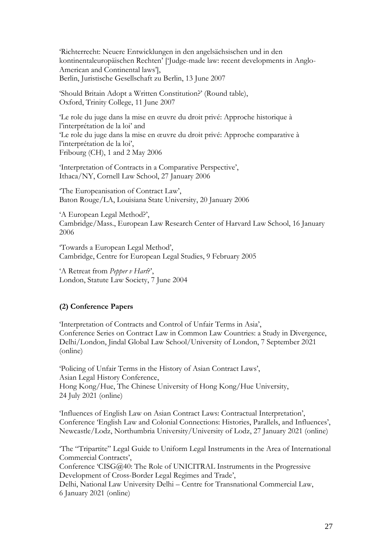'Richterrecht: Neuere Entwicklungen in den angelsächsischen und in den kontinentaleuropäischen Rechten' ['Judge-made law: recent developments in Anglo-American and Continental laws'], Berlin, Juristische Gesellschaft zu Berlin, 13 June 2007

'Should Britain Adopt a Written Constitution?' (Round table), Oxford, Trinity College, 11 June 2007

'Le role du juge dans la mise en œuvre du droit privé: Approche historique à l'interprétation de la loi' and 'Le role du juge dans la mise en œuvre du droit privé: Approche comparative à l'interprétation de la loi', Fribourg (CH), 1 and 2 May 2006

'Interpretation of Contracts in a Comparative Perspective', Ithaca/NY, Cornell Law School, 27 January 2006

'The Europeanisation of Contract Law', Baton Rouge/LA, Louisiana State University, 20 January 2006

'A European Legal Method?', Cambridge/Mass., European Law Research Center of Harvard Law School, 16 January 2006

'Towards a European Legal Method', Cambridge, Centre for European Legal Studies, 9 February 2005

'A Retreat from *Pepper v Hart*?', London, Statute Law Society, 7 June 2004

## **(2) Conference Papers**

'Interpretation of Contracts and Control of Unfair Terms in Asia', Conference Series on Contract Law in Common Law Countries: a Study in Divergence, Delhi/London, Jindal Global Law School/University of London, 7 September 2021 (online)

'Policing of Unfair Terms in the History of Asian Contract Laws', Asian Legal History Conference, Hong Kong/Hue, The Chinese University of Hong Kong/Hue University, 24 July 2021 (online)

'Influences of English Law on Asian Contract Laws: Contractual Interpretation', Conference 'English Law and Colonial Connections: Histories, Parallels, and Influences', Newcastle/Lodz, Northumbria University/University of Lodz, 27 January 2021 (online)

'The "Tripartite" Legal Guide to Uniform Legal Instruments in the Area of International Commercial Contracts', Conference 'CISG@40: The Role of UNICITRAL Instruments in the Progressive Development of Cross-Border Legal Regimes and Trade', Delhi, National Law University Delhi – Centre for Transnational Commercial Law, 6 January 2021 (online)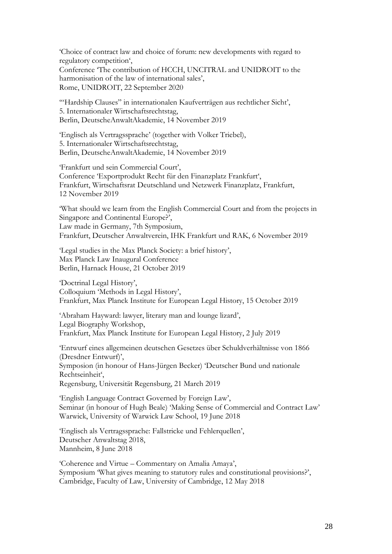'Choice of contract law and choice of forum: new developments with regard to regulatory competition', Conference 'The contribution of HCCH, UNCITRAL and UNIDROIT to the harmonisation of the law of international sales', Rome, UNIDROIT, 22 September 2020

'"Hardship Clauses" in internationalen Kaufverträgen aus rechtlicher Sicht', 5. Internationaler Wirtschaftsrechtstag, Berlin, DeutscheAnwaltAkademie, 14 November 2019

'Englisch als Vertragssprache' (together with Volker Triebel), 5. Internationaler Wirtschaftsrechtstag, Berlin, DeutscheAnwaltAkademie, 14 November 2019

'Frankfurt und sein Commercial Court', Conference 'Exportprodukt Recht für den Finanzplatz Frankfurt', Frankfurt, Wirtschaftsrat Deutschland und Netzwerk Finanzplatz, Frankfurt, 12 November 2019

'What should we learn from the English Commercial Court and from the projects in Singapore and Continental Europe?', Law made in Germany, 7th Symposium, Frankfurt, Deutscher Anwaltverein, IHK Frankfurt und RAK, 6 November 2019

'Legal studies in the Max Planck Society: a brief history', Max Planck Law Inaugural Conference Berlin, Harnack House, 21 October 2019

'Doctrinal Legal History', Colloquium 'Methods in Legal History', Frankfurt, Max Planck Institute for European Legal History, 15 October 2019

'Abraham Hayward: lawyer, literary man and lounge lizard', Legal Biography Workshop, Frankfurt, Max Planck Institute for European Legal History, 2 July 2019

'Entwurf eines allgemeinen deutschen Gesetzes über Schuldverhältnisse von 1866 (Dresdner Entwurf)', Symposion (in honour of Hans-Jürgen Becker) 'Deutscher Bund und nationale Rechtseinheit', Regensburg, Universität Regensburg, 21 March 2019

'English Language Contract Governed by Foreign Law', Seminar (in honour of Hugh Beale) 'Making Sense of Commercial and Contract Law' Warwick, University of Warwick Law School, 19 June 2018

'Englisch als Vertragssprache: Fallstricke und Fehlerquellen', Deutscher Anwaltstag 2018, Mannheim, 8 June 2018

'Coherence and Virtue – Commentary on Amalia Amaya', Symposium 'What gives meaning to statutory rules and constitutional provisions?', Cambridge, Faculty of Law, University of Cambridge, 12 May 2018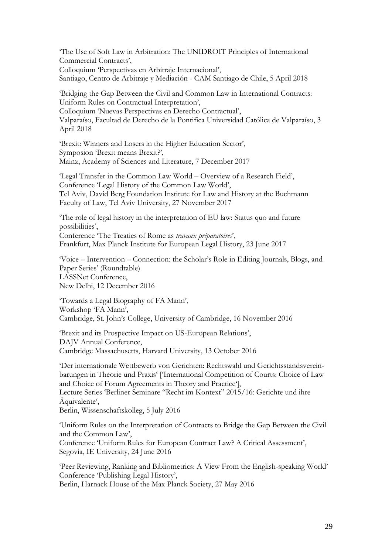'The Use of Soft Law in Arbitration: The UNIDROIT Principles of International Commercial Contracts', Colloquium 'Perspectivas en Arbitraje Internacional', Santiago, Centro de Arbitraje y Mediación - CAM Santiago de Chile, 5 April 2018

'Bridging the Gap Between the Civil and Common Law in International Contracts: Uniform Rules on Contractual Interpretation', Colloquium 'Nuevas Perspectivas en Derecho Contractual',

Valparaíso, Facultad de Derecho de la Pontifica Universidad Católica de Valparaíso, 3 April 2018

'Brexit: Winners and Losers in the Higher Education Sector', Symposion 'Brexit means Brexit?', Mainz, Academy of Sciences and Literature, 7 December 2017

'Legal Transfer in the Common Law World – Overview of a Research Field', Conference 'Legal History of the Common Law World', Tel Aviv, David Berg Foundation Institute for Law and History at the Buchmann Faculty of Law, Tel Aviv University, 27 November 2017

'The role of legal history in the interpretation of EU law: Status quo and future possibilities', Conference 'The Treaties of Rome as *travaux préparatoires*', Frankfurt, Max Planck Institute for European Legal History, 23 June 2017

'Voice – Intervention – Connection: the Scholar's Role in Editing Journals, Blogs, and Paper Series' (Roundtable) LASSNet Conference, New Delhi, 12 December 2016

'Towards a Legal Biography of FA Mann', Workshop 'FA Mann', Cambridge, St. John's College, University of Cambridge, 16 November 2016

'Brexit and its Prospective Impact on US-European Relations', DAJV Annual Conference, Cambridge Massachusetts, Harvard University, 13 October 2016

'Der internationale Wettbewerb von Gerichten: Rechtswahl und Gerichtsstandsvereinbarungen in Theorie und Praxis' ['International Competition of Courts: Choice of Law and Choice of Forum Agreements in Theory and Practice'], Lecture Series 'Berliner Seminare "Recht im Kontext" 2015/16: Gerichte und ihre Äquivalente', Berlin, Wissenschaftskolleg, 5 July 2016

'Uniform Rules on the Interpretation of Contracts to Bridge the Gap Between the Civil and the Common Law', Conference 'Uniform Rules for European Contract Law? A Critical Assessment', Segovia, IE University, 24 June 2016

'Peer Reviewing, Ranking and Bibliometrics: A View From the English-speaking World' Conference 'Publishing Legal History', Berlin, Harnack House of the Max Planck Society, 27 May 2016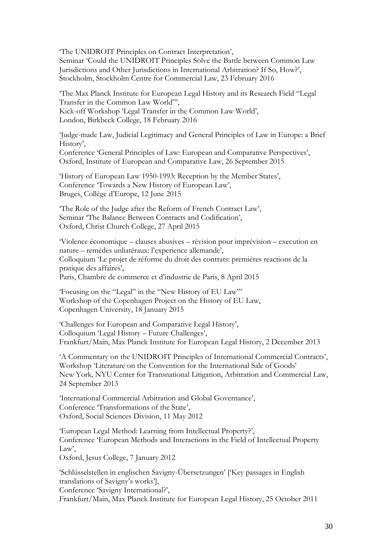'The UNIDROIT Principles on Contract Interpretation', Seminar 'Could the UNIDROIT Principles Solve the Battle between Common Law Jurisdictions and Other Jurisdictions in International Arbitration? If So, How?', Stockholm, Stockholm Centre for Commercial Law, 23 February 2016

'The Max Planck Institute for European Legal History and its Research Field "Legal Transfer in the Common Law World"', Kick-off Workshop 'Legal Transfer in the Common Law World', London, Birkbeck College, 18 February 2016

'Judge-made Law, Judicial Legitimacy and General Principles of Law in Europe: a Brief History', Conference 'General Principles of Law: European and Comparative Perspectives', Oxford, Institute of European and Comparative Law, 26 September 2015

'History of European Law 1950-1993: Reception by the Member States', Conference 'Towards a New History of European Law', Bruges, Collège d'Europe, 12 June 2015

'The Role of the Judge after the Reform of French Contract Law', Seminar 'The Balance Between Contracts and Codification', Oxford, Christ Church College, 27 April 2015

'Violence économique – clauses abusives – révision pour imprévision – execution en nature – remèdes unliatéraux: l'experience allemande', Colloquium 'Le projet de réforme du droit des contrats: premières reactions de la pratique des affaires', Paris, Chambre de commerce et d'industrie de Paris, 8 April 2015

'Focusing on the "Legal" in the "New History of EU Law"' Workshop of the Copenhagen Project on the History of EU Law, Copenhagen University, 18 January 2015

'Challenges for European and Comparative Legal History', Colloquium 'Legal History – Future Challenges', Frankfurt/Main, Max Planck Institute for European Legal History, 2 December 2013

'A Commentary on the UNIDROIT Principles of International Commercial Contracts', Workshop 'Literature on the Convention for the International Sale of Goods' New York, NYU Center for Transnational Litigation, Arbitration and Commercial Law, 24 September 2013

'International Commercial Arbitration and Global Governance', Conference 'Transformations of the State', Oxford, Social Sciences Division, 11 May 2012

'European Legal Method: Learning from Intellectual Property?', Conference 'European Methods and Interactions in the Field of Intellectual Property Law',

Oxford, Jesus College, 7 January 2012

'Schlüsselstellen in englischen Savigny-Übersetzungen' ['Key passages in English translations of Savigny's works'],

Conference 'Savigny International?',

Frankfurt/Main, Max Planck Institute for European Legal History, 25 October 2011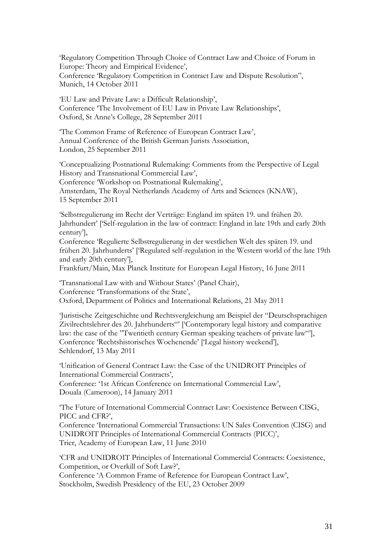'Regulatory Competition Through Choice of Contract Law and Choice of Forum in Europe: Theory and Empirical Evidence', Conference 'Regulatory Competition in Contract Law and Dispute Resolution", Munich, 14 October 2011

'EU Law and Private Law: a Difficult Relationship', Conference 'The Involvement of EU Law in Private Law Relationships', Oxford, St Anne's College, 28 September 2011

'The Common Frame of Reference of European Contract Law', Annual Conference of the British German Jurists Association, London, 25 September 2011

'Conceptualizing Postnational Rulemaking: Comments from the Perspective of Legal History and Transnational Commercial Law', Conference 'Workshop on Postnational Rulemaking', Amsterdam, The Royal Netherlands Academy of Arts and Sciences (KNAW), 15 September 2011

'Selbstregulierung im Recht der Verträge: England im späten 19. und frühen 20. Jahrhundert' ['Self-regulation in the law of contract: England in late 19th and early 20th century'],

Conference 'Regulierte Selbstregulierung in der westlichen Welt des späten 19. und frühen 20. Jahrhunderts' ['Regulated self-regulation in the Western world of the late 19th and early 20th century'],

Frankfurt/Main, Max Planck Institute for European Legal History, 16 June 2011

'Transnational Law with and Without States' (Panel Chair), Conference 'Transformations of the State', Oxford, Department of Politics and International Relations, 21 May 2011

'Juristische Zeitgeschichte und Rechtsvergleichung am Beispiel der "Deutschsprachigen Zivilrechtslehrer des 20. Jahrhunderts"' ['Contemporary legal history and comparative law: the case of the "Twentieth century German speaking teachers of private law"'], Conference 'Rechtshistorisches Wochenende' ['Legal history weekend'], Sehlendorf, 13 May 2011

'Unification of General Contract Law: the Case of the UNIDROIT Principles of International Commercial Contracts', Conference: '1st African Conference on International Commercial Law', Douala (Cameroon), 14 January 2011

'The Future of International Commercial Contract Law: Coexistence Between CISG, PICC and CFR?',

Conference 'International Commercial Transactions: UN Sales Convention (CISG) and UNIDROIT Principles of International Commercial Contracts (PICC)', Trier, Academy of European Law, 11 June 2010

'CFR and UNIDROIT Principles of International Commercial Contracts: Coexistence, Competition, or Overkill of Soft Law?',

Conference 'A Common Frame of Reference for European Contract Law', Stockholm, Swedish Presidency of the EU, 23 October 2009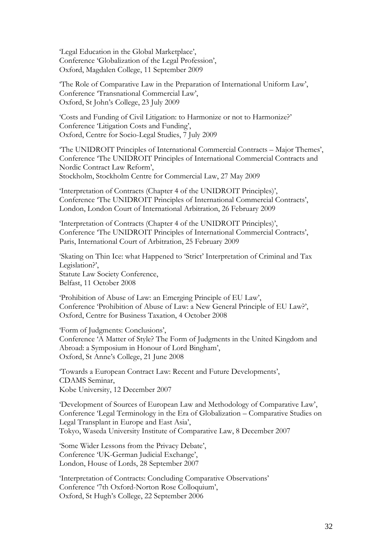'Legal Education in the Global Marketplace', Conference 'Globalization of the Legal Profession', Oxford, Magdalen College, 11 September 2009

'The Role of Comparative Law in the Preparation of International Uniform Law', Conference 'Transnational Commercial Law', Oxford, St John's College, 23 July 2009

'Costs and Funding of Civil Litigation: to Harmonize or not to Harmonize?' Conference 'Litigation Costs and Funding', Oxford, Centre for Socio-Legal Studies, 7 July 2009

'The UNIDROIT Principles of International Commercial Contracts – Major Themes', Conference 'The UNIDROIT Principles of International Commercial Contracts and Nordic Contract Law Reform', Stockholm, Stockholm Centre for Commercial Law, 27 May 2009

'Interpretation of Contracts (Chapter 4 of the UNIDROIT Principles)', Conference 'The UNIDROIT Principles of International Commercial Contracts', London, London Court of International Arbitration, 26 February 2009

'Interpretation of Contracts (Chapter 4 of the UNIDROIT Principles)', Conference 'The UNIDROIT Principles of International Commercial Contracts', Paris, International Court of Arbitration, 25 February 2009

'Skating on Thin Ice: what Happened to 'Strict' Interpretation of Criminal and Tax Legislation?', Statute Law Society Conference, Belfast, 11 October 2008

'Prohibition of Abuse of Law: an Emerging Principle of EU Law', Conference 'Prohibition of Abuse of Law: a New General Principle of EU Law?', Oxford, Centre for Business Taxation, 4 October 2008

'Form of Judgments: Conclusions', Conference 'A Matter of Style? The Form of Judgments in the United Kingdom and Abroad: a Symposium in Honour of Lord Bingham', Oxford, St Anne's College, 21 June 2008

'Towards a European Contract Law: Recent and Future Developments', CDAMS Seminar, Kobe University, 12 December 2007

'Development of Sources of European Law and Methodology of Comparative Law', Conference 'Legal Terminology in the Era of Globalization – Comparative Studies on Legal Transplant in Europe and East Asia', Tokyo, Waseda University Institute of Comparative Law, 8 December 2007

'Some Wider Lessons from the Privacy Debate', Conference 'UK-German Judicial Exchange', London, House of Lords, 28 September 2007

'Interpretation of Contracts: Concluding Comparative Observations' Conference '7th Oxford-Norton Rose Colloquium', Oxford, St Hugh's College, 22 September 2006